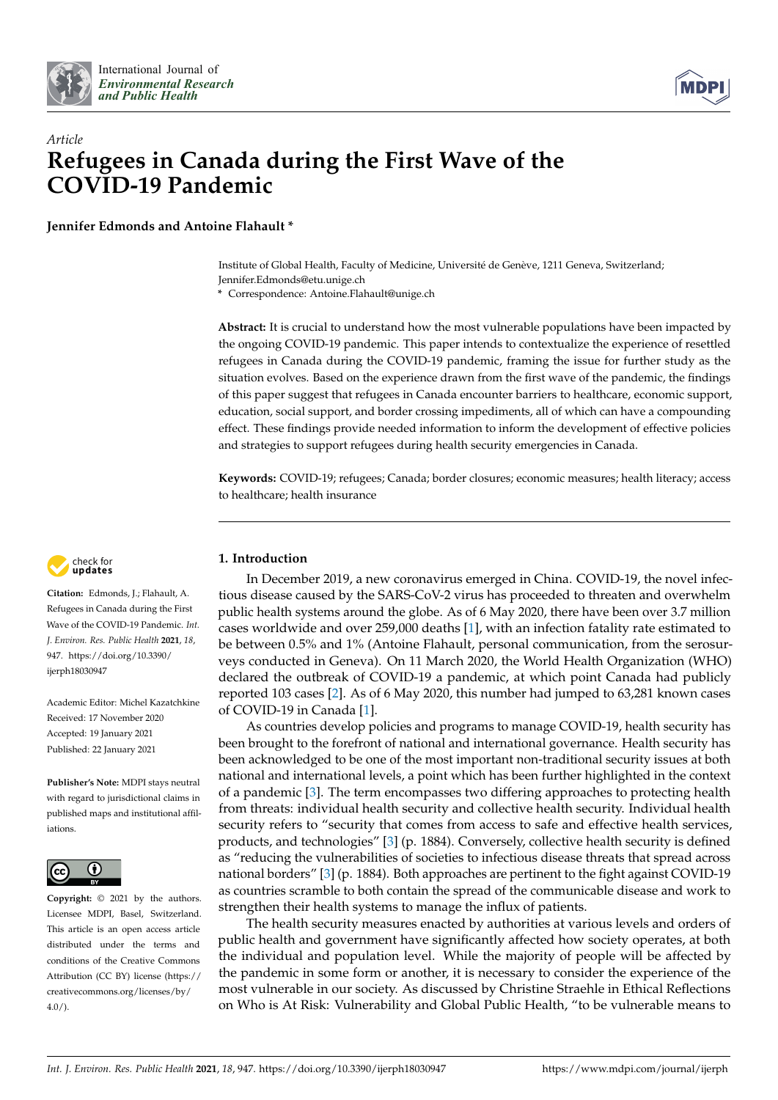



# *Article* **Refugees in Canada during the First Wave of the COVID-19 Pandemic**

**Jennifer Edmonds and Antoine Flahault \***

Institute of Global Health, Faculty of Medicine, Université de Genève, 1211 Geneva, Switzerland; Jennifer.Edmonds@etu.unige.ch

**\*** Correspondence: Antoine.Flahault@unige.ch

**Abstract:** It is crucial to understand how the most vulnerable populations have been impacted by the ongoing COVID-19 pandemic. This paper intends to contextualize the experience of resettled refugees in Canada during the COVID-19 pandemic, framing the issue for further study as the situation evolves. Based on the experience drawn from the first wave of the pandemic, the findings of this paper suggest that refugees in Canada encounter barriers to healthcare, economic support, education, social support, and border crossing impediments, all of which can have a compounding effect. These findings provide needed information to inform the development of effective policies and strategies to support refugees during health security emergencies in Canada.

**Keywords:** COVID-19; refugees; Canada; border closures; economic measures; health literacy; access to healthcare; health insurance



**Citation:** Edmonds, J.; Flahault, A. Refugees in Canada during the First Wave of the COVID-19 Pandemic. *Int. J. Environ. Res. Public Health* **2021**, *18*, 947. [https://doi.org/10.3390/](https://doi.org/10.3390/ijerph18030947) [ijerph18030947](https://doi.org/10.3390/ijerph18030947)

Academic Editor: Michel Kazatchkine Received: 17 November 2020 Accepted: 19 January 2021 Published: 22 January 2021

**Publisher's Note:** MDPI stays neutral with regard to jurisdictional claims in published maps and institutional affiliations.



**Copyright:** © 2021 by the authors. Licensee MDPI, Basel, Switzerland. This article is an open access article distributed under the terms and conditions of the Creative Commons Attribution (CC BY) license (https:/[/](https://creativecommons.org/licenses/by/4.0/) [creativecommons.org/licenses/by/](https://creativecommons.org/licenses/by/4.0/) 4.0/).

## **1. Introduction**

In December 2019, a new coronavirus emerged in China. COVID-19, the novel infectious disease caused by the SARS-CoV-2 virus has proceeded to threaten and overwhelm public health systems around the globe. As of 6 May 2020, there have been over 3.7 million cases worldwide and over 259,000 deaths [\[1\]](#page-11-0), with an infection fatality rate estimated to be between 0.5% and 1% (Antoine Flahault, personal communication, from the serosurveys conducted in Geneva). On 11 March 2020, the World Health Organization (WHO) declared the outbreak of COVID-19 a pandemic, at which point Canada had publicly reported 103 cases [\[2\]](#page-11-1). As of 6 May 2020, this number had jumped to 63,281 known cases of COVID-19 in Canada [\[1\]](#page-11-0).

As countries develop policies and programs to manage COVID-19, health security has been brought to the forefront of national and international governance. Health security has been acknowledged to be one of the most important non-traditional security issues at both national and international levels, a point which has been further highlighted in the context of a pandemic [\[3\]](#page-11-2). The term encompasses two differing approaches to protecting health from threats: individual health security and collective health security. Individual health security refers to "security that comes from access to safe and effective health services, products, and technologies" [\[3\]](#page-11-2) (p. 1884). Conversely, collective health security is defined as "reducing the vulnerabilities of societies to infectious disease threats that spread across national borders" [\[3\]](#page-11-2) (p. 1884). Both approaches are pertinent to the fight against COVID-19 as countries scramble to both contain the spread of the communicable disease and work to strengthen their health systems to manage the influx of patients.

The health security measures enacted by authorities at various levels and orders of public health and government have significantly affected how society operates, at both the individual and population level. While the majority of people will be affected by the pandemic in some form or another, it is necessary to consider the experience of the most vulnerable in our society. As discussed by Christine Straehle in Ethical Reflections on Who is At Risk: Vulnerability and Global Public Health, "to be vulnerable means to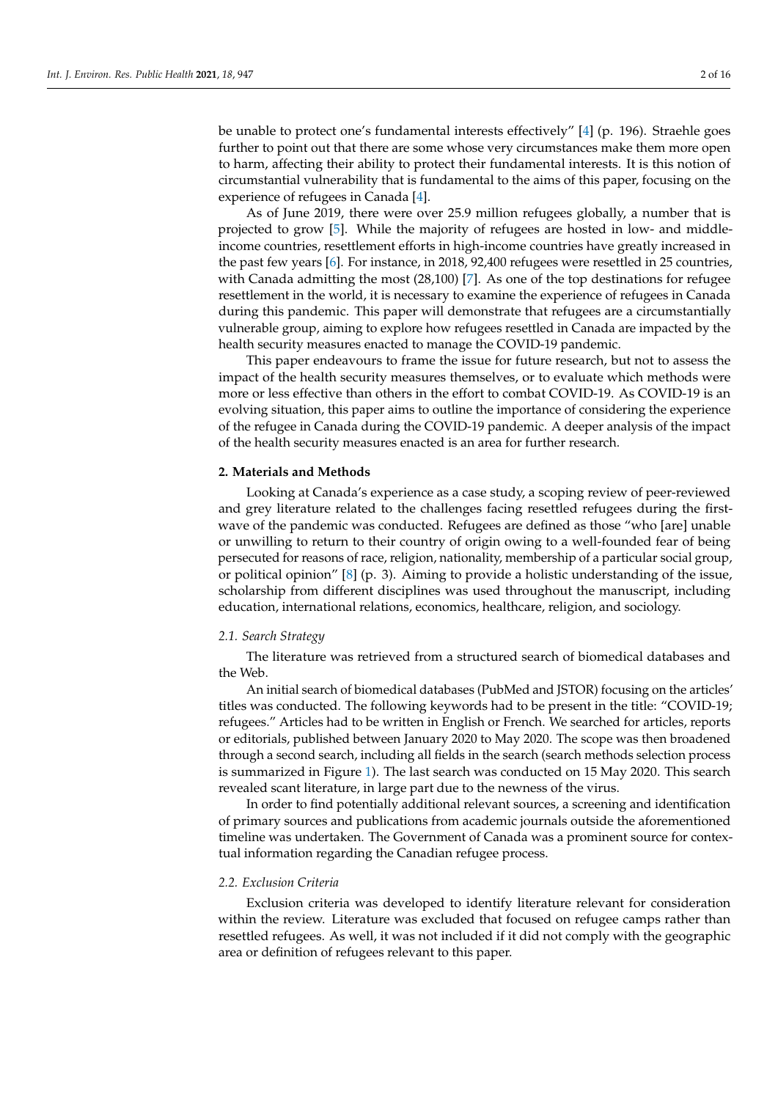be unable to protect one's fundamental interests effectively" [\[4\]](#page-11-3) (p. 196). Straehle goes further to point out that there are some whose very circumstances make them more open to harm, affecting their ability to protect their fundamental interests. It is this notion of circumstantial vulnerability that is fundamental to the aims of this paper, focusing on the experience of refugees in Canada [\[4\]](#page-11-3).

As of June 2019, there were over 25.9 million refugees globally, a number that is projected to grow [\[5\]](#page-11-4). While the majority of refugees are hosted in low- and middleincome countries, resettlement efforts in high-income countries have greatly increased in the past few years [\[6\]](#page-11-5). For instance, in 2018, 92,400 refugees were resettled in 25 countries, with Canada admitting the most (28,100) [\[7\]](#page-11-6). As one of the top destinations for refugee resettlement in the world, it is necessary to examine the experience of refugees in Canada during this pandemic. This paper will demonstrate that refugees are a circumstantially vulnerable group, aiming to explore how refugees resettled in Canada are impacted by the health security measures enacted to manage the COVID-19 pandemic.

This paper endeavours to frame the issue for future research, but not to assess the impact of the health security measures themselves, or to evaluate which methods were more or less effective than others in the effort to combat COVID-19. As COVID-19 is an evolving situation, this paper aims to outline the importance of considering the experience of the refugee in Canada during the COVID-19 pandemic. A deeper analysis of the impact of the health security measures enacted is an area for further research.

#### **2. Materials and Methods**

Looking at Canada's experience as a case study, a scoping review of peer-reviewed and grey literature related to the challenges facing resettled refugees during the firstwave of the pandemic was conducted. Refugees are defined as those "who [are] unable or unwilling to return to their country of origin owing to a well-founded fear of being persecuted for reasons of race, religion, nationality, membership of a particular social group, or political opinion" [\[8\]](#page-11-7) (p. 3). Aiming to provide a holistic understanding of the issue, scholarship from different disciplines was used throughout the manuscript, including education, international relations, economics, healthcare, religion, and sociology.

#### *2.1. Search Strategy*

The literature was retrieved from a structured search of biomedical databases and the Web.

An initial search of biomedical databases (PubMed and JSTOR) focusing on the articles' titles was conducted. The following keywords had to be present in the title: "COVID-19; refugees." Articles had to be written in English or French. We searched for articles, reports or editorials, published between January 2020 to May 2020. The scope was then broadened through a second search, including all fields in the search (search methods selection process is summarized in Figure [1\)](#page-2-0). The last search was conducted on 15 May 2020. This search revealed scant literature, in large part due to the newness of the virus.

In order to find potentially additional relevant sources, a screening and identification of primary sources and publications from academic journals outside the aforementioned timeline was undertaken. The Government of Canada was a prominent source for contextual information regarding the Canadian refugee process.

## *2.2. Exclusion Criteria*

Exclusion criteria was developed to identify literature relevant for consideration within the review. Literature was excluded that focused on refugee camps rather than resettled refugees. As well, it was not included if it did not comply with the geographic area or definition of refugees relevant to this paper.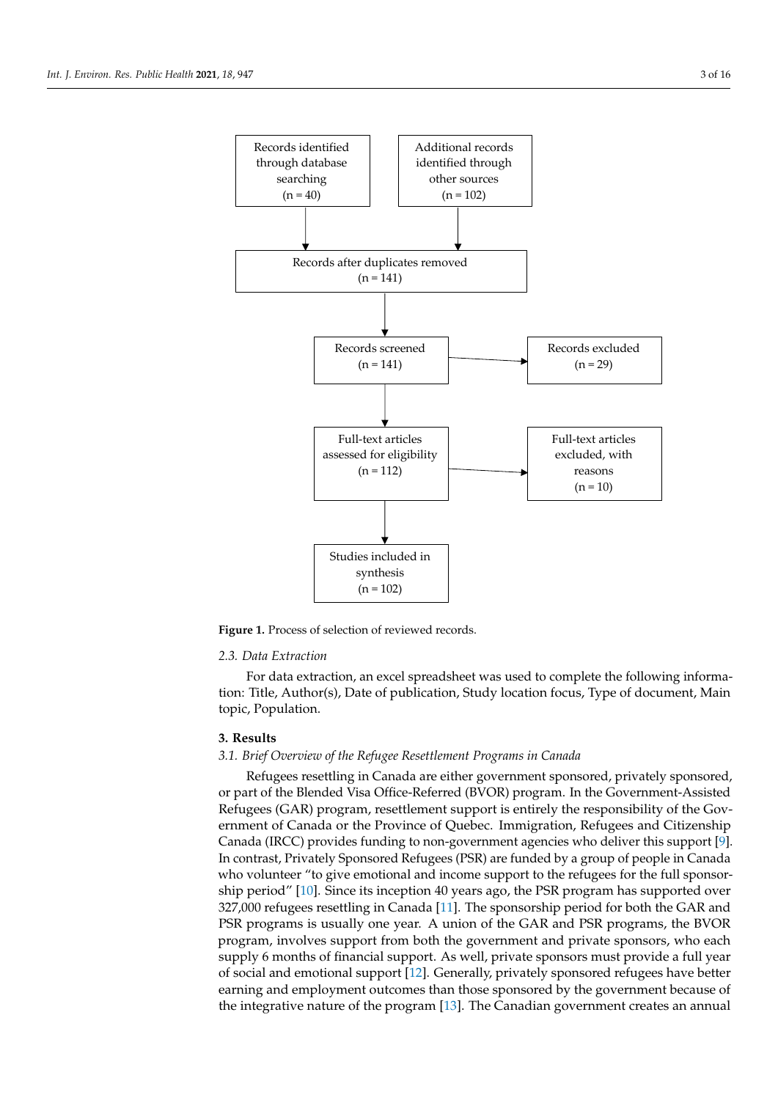<span id="page-2-0"></span>

Figure 1. Process of selection of reviewed records.

#### *2.3. Data Extraction*

For data extraction, an excel spreadsheet was used to complete the following information: Title, Author(s), Date of publication, Study location focus, Type of document, Main topic, Population.

## **3. Results**

## *3.1. Brief Overview of the Refugee Resettlement Programs in Canada*

Refugees resettling in Canada are either government sponsored, privately sponsored, or part of the Blended Visa Office-Referred (BVOR) program. In the Government-Assisted Refugees (GAR) program, resettlement support is entirely the responsibility of the Government of Canada or the Province of Quebec. Immigration, Refugees and Citizenship Canada (IRCC) provides funding to non-government agencies who deliver this support [\[9\]](#page-11-8). In contrast, Privately Sponsored Refugees (PSR) are funded by a group of people in Canada who volunteer "to give emotional and income support to the refugees for the full sponsorship period" [\[10\]](#page-11-9). Since its inception 40 years ago, the PSR program has supported over 327,000 refugees resettling in Canada [\[11\]](#page-11-10). The sponsorship period for both the GAR and PSR programs is usually one year. A union of the GAR and PSR programs, the BVOR program, involves support from both the government and private sponsors, who each supply 6 months of financial support. As well, private sponsors must provide a full year of social and emotional support [\[12\]](#page-11-11). Generally, privately sponsored refugees have better earning and employment outcomes than those sponsored by the government because of the integrative nature of the program [\[13\]](#page-11-12). The Canadian government creates an annual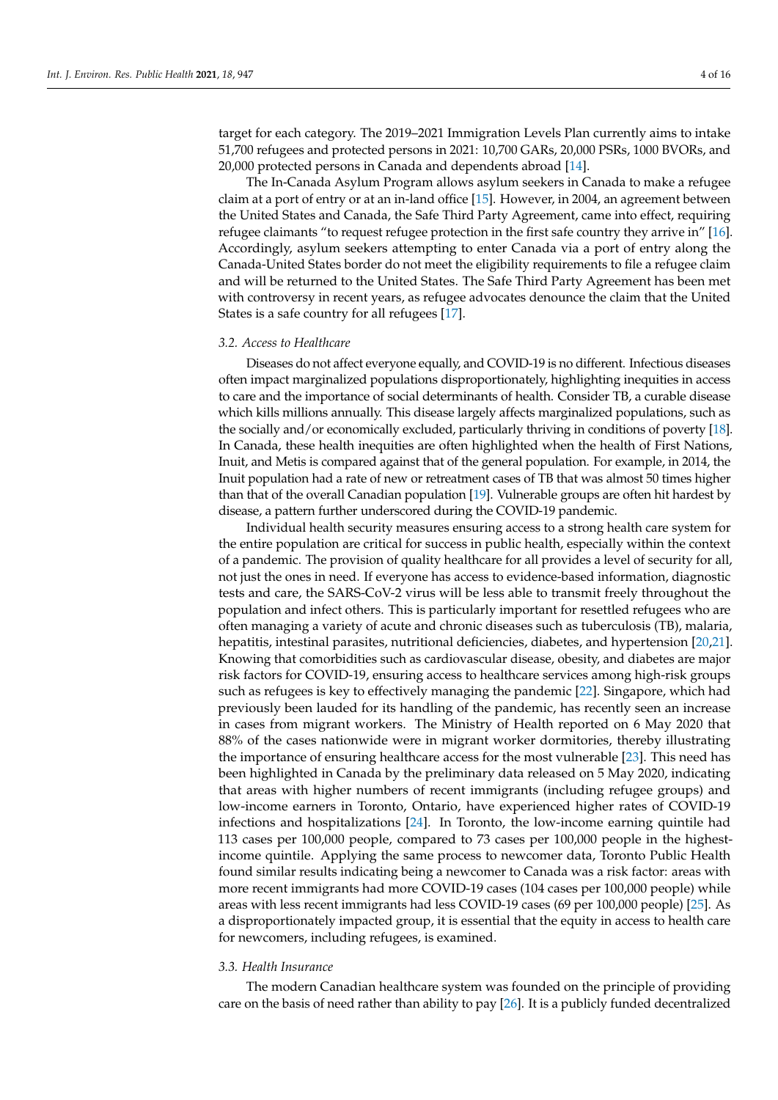target for each category. The 2019–2021 Immigration Levels Plan currently aims to intake 51,700 refugees and protected persons in 2021: 10,700 GARs, 20,000 PSRs, 1000 BVORs, and 20,000 protected persons in Canada and dependents abroad [\[14\]](#page-11-13).

The In-Canada Asylum Program allows asylum seekers in Canada to make a refugee claim at a port of entry or at an in-land office [\[15\]](#page-11-14). However, in 2004, an agreement between the United States and Canada, the Safe Third Party Agreement, came into effect, requiring refugee claimants "to request refugee protection in the first safe country they arrive in" [\[16\]](#page-11-15). Accordingly, asylum seekers attempting to enter Canada via a port of entry along the Canada-United States border do not meet the eligibility requirements to file a refugee claim and will be returned to the United States. The Safe Third Party Agreement has been met with controversy in recent years, as refugee advocates denounce the claim that the United States is a safe country for all refugees [\[17\]](#page-12-0).

#### *3.2. Access to Healthcare*

Diseases do not affect everyone equally, and COVID-19 is no different. Infectious diseases often impact marginalized populations disproportionately, highlighting inequities in access to care and the importance of social determinants of health. Consider TB, a curable disease which kills millions annually. This disease largely affects marginalized populations, such as the socially and/or economically excluded, particularly thriving in conditions of poverty [\[18\]](#page-12-1). In Canada, these health inequities are often highlighted when the health of First Nations, Inuit, and Metis is compared against that of the general population. For example, in 2014, the Inuit population had a rate of new or retreatment cases of TB that was almost 50 times higher than that of the overall Canadian population [\[19\]](#page-12-2). Vulnerable groups are often hit hardest by disease, a pattern further underscored during the COVID-19 pandemic.

Individual health security measures ensuring access to a strong health care system for the entire population are critical for success in public health, especially within the context of a pandemic. The provision of quality healthcare for all provides a level of security for all, not just the ones in need. If everyone has access to evidence-based information, diagnostic tests and care, the SARS-CoV-2 virus will be less able to transmit freely throughout the population and infect others. This is particularly important for resettled refugees who are often managing a variety of acute and chronic diseases such as tuberculosis (TB), malaria, hepatitis, intestinal parasites, nutritional deficiencies, diabetes, and hypertension [\[20,](#page-12-3)[21\]](#page-12-4). Knowing that comorbidities such as cardiovascular disease, obesity, and diabetes are major risk factors for COVID-19, ensuring access to healthcare services among high-risk groups such as refugees is key to effectively managing the pandemic [\[22\]](#page-12-5). Singapore, which had previously been lauded for its handling of the pandemic, has recently seen an increase in cases from migrant workers. The Ministry of Health reported on 6 May 2020 that 88% of the cases nationwide were in migrant worker dormitories, thereby illustrating the importance of ensuring healthcare access for the most vulnerable [\[23\]](#page-12-6). This need has been highlighted in Canada by the preliminary data released on 5 May 2020, indicating that areas with higher numbers of recent immigrants (including refugee groups) and low-income earners in Toronto, Ontario, have experienced higher rates of COVID-19 infections and hospitalizations [\[24\]](#page-12-7). In Toronto, the low-income earning quintile had 113 cases per 100,000 people, compared to 73 cases per 100,000 people in the highestincome quintile. Applying the same process to newcomer data, Toronto Public Health found similar results indicating being a newcomer to Canada was a risk factor: areas with more recent immigrants had more COVID-19 cases (104 cases per 100,000 people) while areas with less recent immigrants had less COVID-19 cases (69 per 100,000 people) [\[25\]](#page-12-8). As a disproportionately impacted group, it is essential that the equity in access to health care for newcomers, including refugees, is examined.

#### *3.3. Health Insurance*

The modern Canadian healthcare system was founded on the principle of providing care on the basis of need rather than ability to pay [\[26\]](#page-12-9). It is a publicly funded decentralized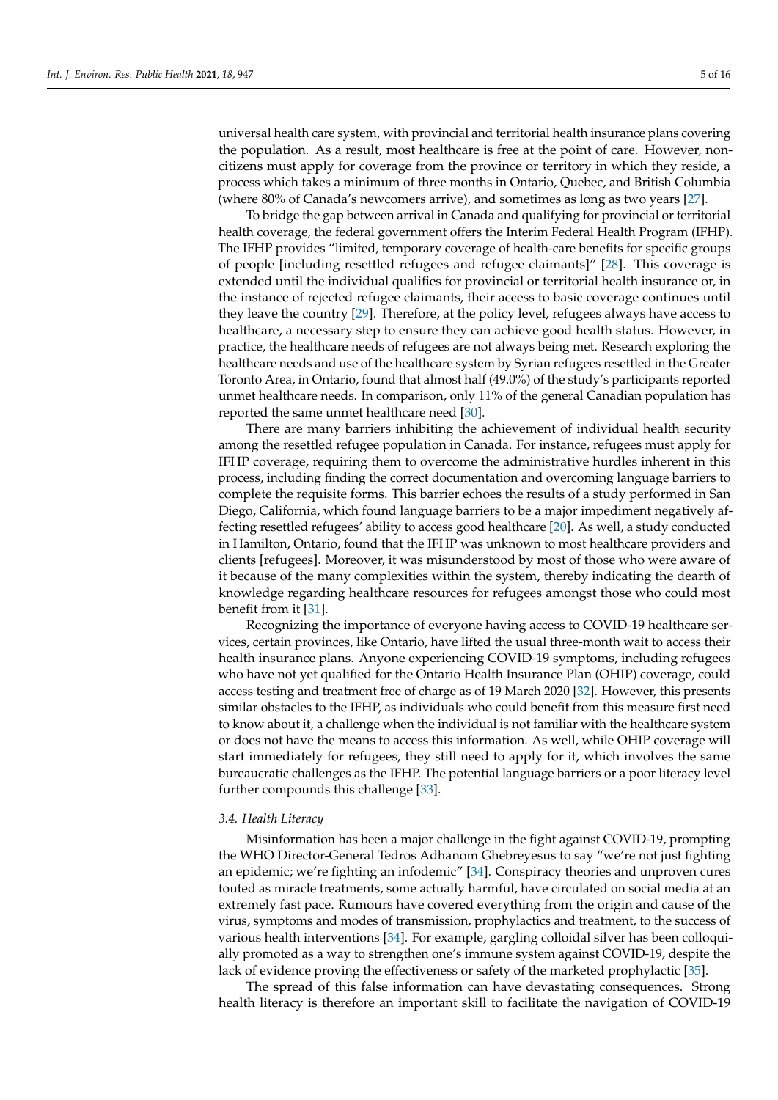universal health care system, with provincial and territorial health insurance plans covering the population. As a result, most healthcare is free at the point of care. However, noncitizens must apply for coverage from the province or territory in which they reside, a process which takes a minimum of three months in Ontario, Quebec, and British Columbia (where 80% of Canada's newcomers arrive), and sometimes as long as two years [\[27\]](#page-12-10).

To bridge the gap between arrival in Canada and qualifying for provincial or territorial health coverage, the federal government offers the Interim Federal Health Program (IFHP). The IFHP provides "limited, temporary coverage of health-care benefits for specific groups of people [including resettled refugees and refugee claimants]" [\[28\]](#page-12-11). This coverage is extended until the individual qualifies for provincial or territorial health insurance or, in the instance of rejected refugee claimants, their access to basic coverage continues until they leave the country [\[29\]](#page-12-12). Therefore, at the policy level, refugees always have access to healthcare, a necessary step to ensure they can achieve good health status. However, in practice, the healthcare needs of refugees are not always being met. Research exploring the healthcare needs and use of the healthcare system by Syrian refugees resettled in the Greater Toronto Area, in Ontario, found that almost half (49.0%) of the study's participants reported unmet healthcare needs. In comparison, only 11% of the general Canadian population has reported the same unmet healthcare need [\[30\]](#page-12-13).

There are many barriers inhibiting the achievement of individual health security among the resettled refugee population in Canada. For instance, refugees must apply for IFHP coverage, requiring them to overcome the administrative hurdles inherent in this process, including finding the correct documentation and overcoming language barriers to complete the requisite forms. This barrier echoes the results of a study performed in San Diego, California, which found language barriers to be a major impediment negatively affecting resettled refugees' ability to access good healthcare [\[20\]](#page-12-3). As well, a study conducted in Hamilton, Ontario, found that the IFHP was unknown to most healthcare providers and clients [refugees]. Moreover, it was misunderstood by most of those who were aware of it because of the many complexities within the system, thereby indicating the dearth of knowledge regarding healthcare resources for refugees amongst those who could most benefit from it [\[31\]](#page-12-14).

Recognizing the importance of everyone having access to COVID-19 healthcare services, certain provinces, like Ontario, have lifted the usual three-month wait to access their health insurance plans. Anyone experiencing COVID-19 symptoms, including refugees who have not yet qualified for the Ontario Health Insurance Plan (OHIP) coverage, could access testing and treatment free of charge as of 19 March 2020 [\[32\]](#page-12-15). However, this presents similar obstacles to the IFHP, as individuals who could benefit from this measure first need to know about it, a challenge when the individual is not familiar with the healthcare system or does not have the means to access this information. As well, while OHIP coverage will start immediately for refugees, they still need to apply for it, which involves the same bureaucratic challenges as the IFHP. The potential language barriers or a poor literacy level further compounds this challenge [\[33\]](#page-12-16).

#### *3.4. Health Literacy*

Misinformation has been a major challenge in the fight against COVID-19, prompting the WHO Director-General Tedros Adhanom Ghebreyesus to say "we're not just fighting an epidemic; we're fighting an infodemic" [\[34\]](#page-12-17). Conspiracy theories and unproven cures touted as miracle treatments, some actually harmful, have circulated on social media at an extremely fast pace. Rumours have covered everything from the origin and cause of the virus, symptoms and modes of transmission, prophylactics and treatment, to the success of various health interventions [\[34\]](#page-12-17). For example, gargling colloidal silver has been colloquially promoted as a way to strengthen one's immune system against COVID-19, despite the lack of evidence proving the effectiveness or safety of the marketed prophylactic [\[35\]](#page-12-18).

The spread of this false information can have devastating consequences. Strong health literacy is therefore an important skill to facilitate the navigation of COVID-19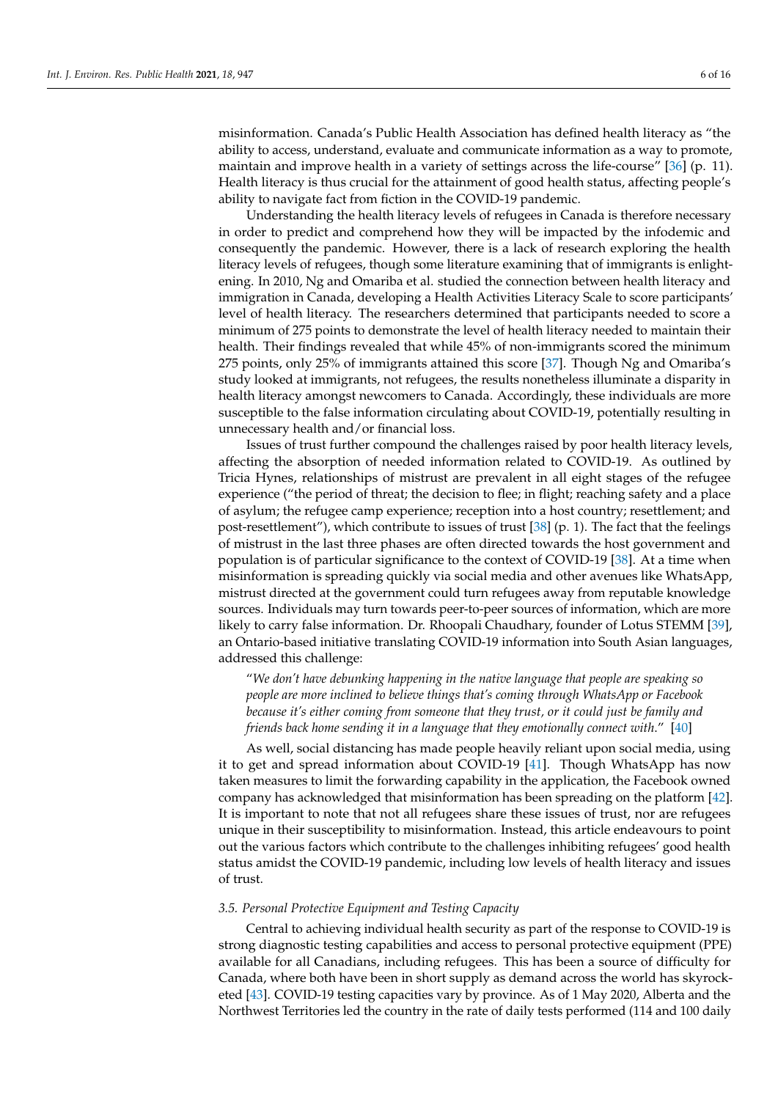misinformation. Canada's Public Health Association has defined health literacy as "the ability to access, understand, evaluate and communicate information as a way to promote, maintain and improve health in a variety of settings across the life-course" [\[36\]](#page-12-19) (p. 11). Health literacy is thus crucial for the attainment of good health status, affecting people's ability to navigate fact from fiction in the COVID-19 pandemic.

Understanding the health literacy levels of refugees in Canada is therefore necessary in order to predict and comprehend how they will be impacted by the infodemic and consequently the pandemic. However, there is a lack of research exploring the health literacy levels of refugees, though some literature examining that of immigrants is enlightening. In 2010, Ng and Omariba et al. studied the connection between health literacy and immigration in Canada, developing a Health Activities Literacy Scale to score participants' level of health literacy. The researchers determined that participants needed to score a minimum of 275 points to demonstrate the level of health literacy needed to maintain their health. Their findings revealed that while 45% of non-immigrants scored the minimum 275 points, only 25% of immigrants attained this score [\[37\]](#page-12-20). Though Ng and Omariba's study looked at immigrants, not refugees, the results nonetheless illuminate a disparity in health literacy amongst newcomers to Canada. Accordingly, these individuals are more susceptible to the false information circulating about COVID-19, potentially resulting in unnecessary health and/or financial loss.

Issues of trust further compound the challenges raised by poor health literacy levels, affecting the absorption of needed information related to COVID-19. As outlined by Tricia Hynes, relationships of mistrust are prevalent in all eight stages of the refugee experience ("the period of threat; the decision to flee; in flight; reaching safety and a place of asylum; the refugee camp experience; reception into a host country; resettlement; and post-resettlement"), which contribute to issues of trust  $[38]$  (p. 1). The fact that the feelings of mistrust in the last three phases are often directed towards the host government and population is of particular significance to the context of COVID-19 [\[38\]](#page-12-21). At a time when misinformation is spreading quickly via social media and other avenues like WhatsApp, mistrust directed at the government could turn refugees away from reputable knowledge sources. Individuals may turn towards peer-to-peer sources of information, which are more likely to carry false information. Dr. Rhoopali Chaudhary, founder of Lotus STEMM [\[39\]](#page-12-22), an Ontario-based initiative translating COVID-19 information into South Asian languages, addressed this challenge:

"*We don't have debunking happening in the native language that people are speaking so people are more inclined to believe things that's coming through WhatsApp or Facebook because it's either coming from someone that they trust, or it could just be family and friends back home sending it in a language that they emotionally connect with*." [\[40\]](#page-13-0)

As well, social distancing has made people heavily reliant upon social media, using it to get and spread information about COVID-19 [\[41\]](#page-13-1). Though WhatsApp has now taken measures to limit the forwarding capability in the application, the Facebook owned company has acknowledged that misinformation has been spreading on the platform [\[42\]](#page-13-2). It is important to note that not all refugees share these issues of trust, nor are refugees unique in their susceptibility to misinformation. Instead, this article endeavours to point out the various factors which contribute to the challenges inhibiting refugees' good health status amidst the COVID-19 pandemic, including low levels of health literacy and issues of trust.

### *3.5. Personal Protective Equipment and Testing Capacity*

Central to achieving individual health security as part of the response to COVID-19 is strong diagnostic testing capabilities and access to personal protective equipment (PPE) available for all Canadians, including refugees. This has been a source of difficulty for Canada, where both have been in short supply as demand across the world has skyrocketed [\[43\]](#page-13-3). COVID-19 testing capacities vary by province. As of 1 May 2020, Alberta and the Northwest Territories led the country in the rate of daily tests performed (114 and 100 daily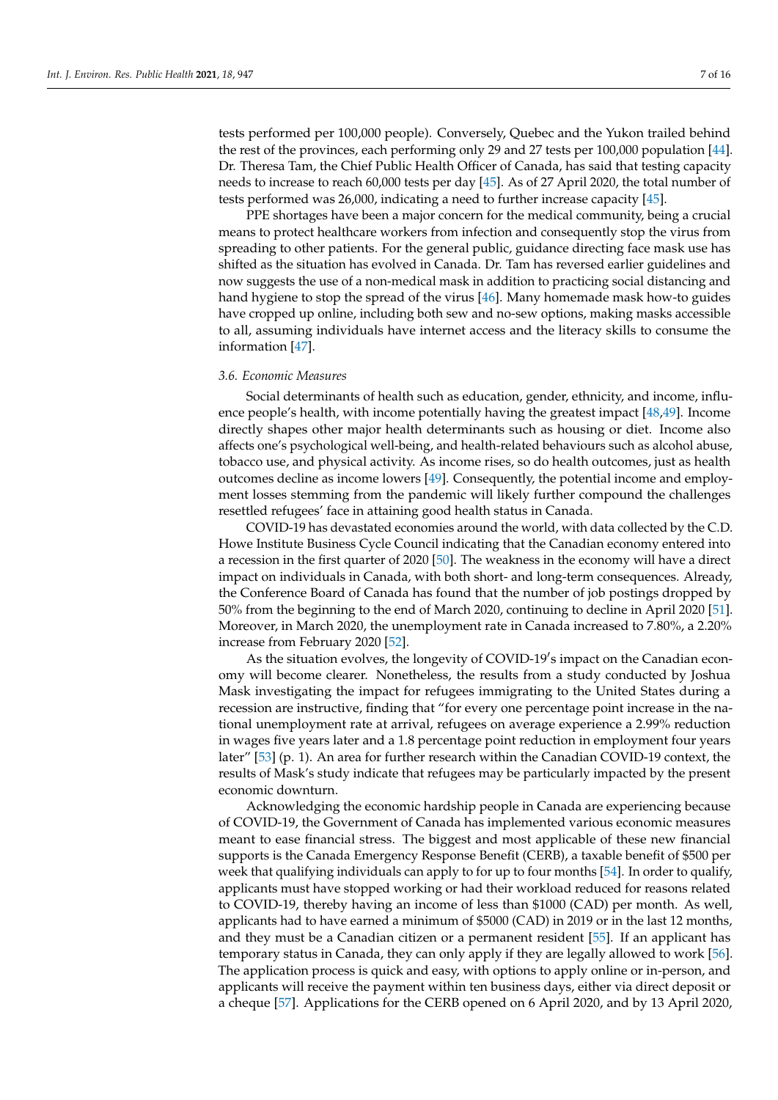tests performed per 100,000 people). Conversely, Quebec and the Yukon trailed behind the rest of the provinces, each performing only 29 and 27 tests per 100,000 population [\[44\]](#page-13-4). Dr. Theresa Tam, the Chief Public Health Officer of Canada, has said that testing capacity needs to increase to reach 60,000 tests per day [\[45\]](#page-13-5). As of 27 April 2020, the total number of tests performed was 26,000, indicating a need to further increase capacity [\[45\]](#page-13-5).

PPE shortages have been a major concern for the medical community, being a crucial means to protect healthcare workers from infection and consequently stop the virus from spreading to other patients. For the general public, guidance directing face mask use has shifted as the situation has evolved in Canada. Dr. Tam has reversed earlier guidelines and now suggests the use of a non-medical mask in addition to practicing social distancing and hand hygiene to stop the spread of the virus [\[46\]](#page-13-6). Many homemade mask how-to guides have cropped up online, including both sew and no-sew options, making masks accessible to all, assuming individuals have internet access and the literacy skills to consume the information [\[47\]](#page-13-7).

#### *3.6. Economic Measures*

Social determinants of health such as education, gender, ethnicity, and income, influence people's health, with income potentially having the greatest impact [\[48](#page-13-8)[,49\]](#page-13-9). Income directly shapes other major health determinants such as housing or diet. Income also affects one's psychological well-being, and health-related behaviours such as alcohol abuse, tobacco use, and physical activity. As income rises, so do health outcomes, just as health outcomes decline as income lowers [\[49\]](#page-13-9). Consequently, the potential income and employment losses stemming from the pandemic will likely further compound the challenges resettled refugees' face in attaining good health status in Canada.

COVID-19 has devastated economies around the world, with data collected by the C.D. Howe Institute Business Cycle Council indicating that the Canadian economy entered into a recession in the first quarter of 2020 [\[50\]](#page-13-10). The weakness in the economy will have a direct impact on individuals in Canada, with both short- and long-term consequences. Already, the Conference Board of Canada has found that the number of job postings dropped by 50% from the beginning to the end of March 2020, continuing to decline in April 2020 [\[51\]](#page-13-11). Moreover, in March 2020, the unemployment rate in Canada increased to 7.80%, a 2.20% increase from February 2020 [\[52\]](#page-13-12).

As the situation evolves, the longevity of COVID-19's impact on the Canadian economy will become clearer. Nonetheless, the results from a study conducted by Joshua Mask investigating the impact for refugees immigrating to the United States during a recession are instructive, finding that "for every one percentage point increase in the national unemployment rate at arrival, refugees on average experience a 2.99% reduction in wages five years later and a 1.8 percentage point reduction in employment four years later" [\[53\]](#page-13-13) (p. 1). An area for further research within the Canadian COVID-19 context, the results of Mask's study indicate that refugees may be particularly impacted by the present economic downturn.

Acknowledging the economic hardship people in Canada are experiencing because of COVID-19, the Government of Canada has implemented various economic measures meant to ease financial stress. The biggest and most applicable of these new financial supports is the Canada Emergency Response Benefit (CERB), a taxable benefit of \$500 per week that qualifying individuals can apply to for up to four months [\[54\]](#page-13-14). In order to qualify, applicants must have stopped working or had their workload reduced for reasons related to COVID-19, thereby having an income of less than \$1000 (CAD) per month. As well, applicants had to have earned a minimum of \$5000 (CAD) in 2019 or in the last 12 months, and they must be a Canadian citizen or a permanent resident [\[55\]](#page-13-15). If an applicant has temporary status in Canada, they can only apply if they are legally allowed to work [\[56\]](#page-13-16). The application process is quick and easy, with options to apply online or in-person, and applicants will receive the payment within ten business days, either via direct deposit or a cheque [\[57\]](#page-13-17). Applications for the CERB opened on 6 April 2020, and by 13 April 2020,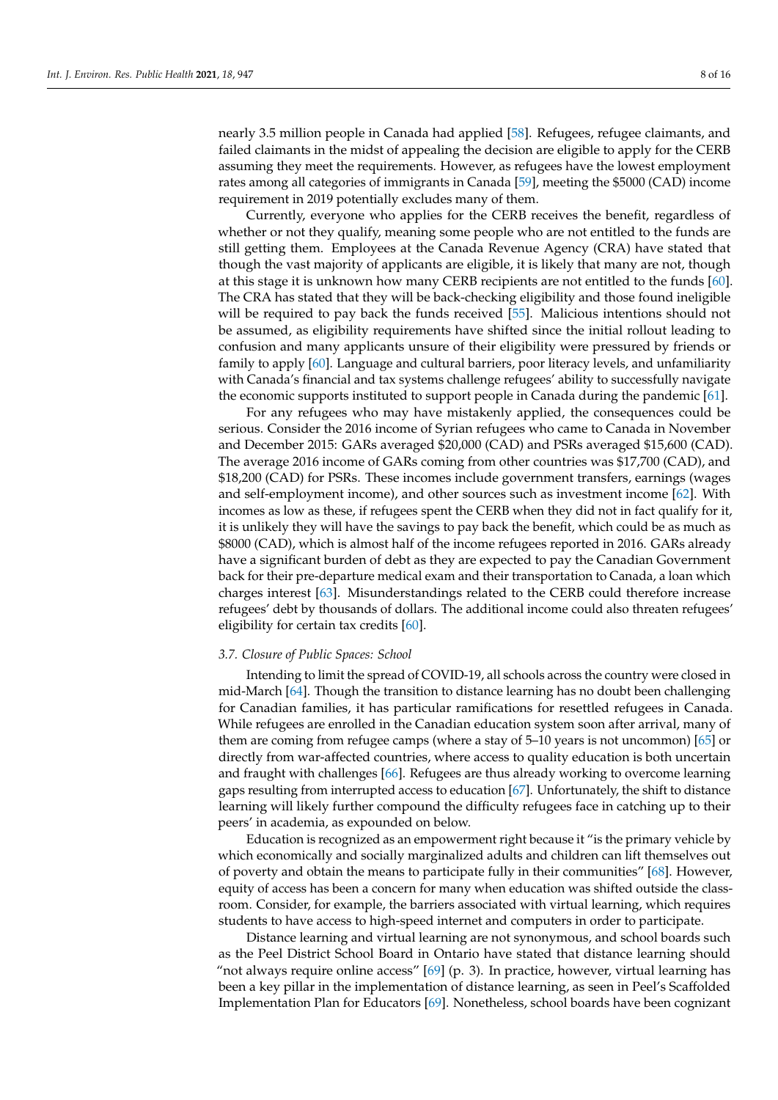nearly 3.5 million people in Canada had applied [\[58\]](#page-13-18). Refugees, refugee claimants, and failed claimants in the midst of appealing the decision are eligible to apply for the CERB assuming they meet the requirements. However, as refugees have the lowest employment rates among all categories of immigrants in Canada [\[59\]](#page-13-19), meeting the \$5000 (CAD) income requirement in 2019 potentially excludes many of them.

Currently, everyone who applies for the CERB receives the benefit, regardless of whether or not they qualify, meaning some people who are not entitled to the funds are still getting them. Employees at the Canada Revenue Agency (CRA) have stated that though the vast majority of applicants are eligible, it is likely that many are not, though at this stage it is unknown how many CERB recipients are not entitled to the funds [\[60\]](#page-13-20). The CRA has stated that they will be back-checking eligibility and those found ineligible will be required to pay back the funds received [\[55\]](#page-13-15). Malicious intentions should not be assumed, as eligibility requirements have shifted since the initial rollout leading to confusion and many applicants unsure of their eligibility were pressured by friends or family to apply [\[60\]](#page-13-20). Language and cultural barriers, poor literacy levels, and unfamiliarity with Canada's financial and tax systems challenge refugees' ability to successfully navigate the economic supports instituted to support people in Canada during the pandemic [\[61\]](#page-13-21).

For any refugees who may have mistakenly applied, the consequences could be serious. Consider the 2016 income of Syrian refugees who came to Canada in November and December 2015: GARs averaged \$20,000 (CAD) and PSRs averaged \$15,600 (CAD). The average 2016 income of GARs coming from other countries was \$17,700 (CAD), and \$18,200 (CAD) for PSRs. These incomes include government transfers, earnings (wages and self-employment income), and other sources such as investment income [\[62\]](#page-13-22). With incomes as low as these, if refugees spent the CERB when they did not in fact qualify for it, it is unlikely they will have the savings to pay back the benefit, which could be as much as \$8000 (CAD), which is almost half of the income refugees reported in 2016. GARs already have a significant burden of debt as they are expected to pay the Canadian Government back for their pre-departure medical exam and their transportation to Canada, a loan which charges interest [\[63\]](#page-13-23). Misunderstandings related to the CERB could therefore increase refugees' debt by thousands of dollars. The additional income could also threaten refugees' eligibility for certain tax credits [\[60\]](#page-13-20).

#### *3.7. Closure of Public Spaces: School*

Intending to limit the spread of COVID-19, all schools across the country were closed in mid-March [\[64\]](#page-14-0). Though the transition to distance learning has no doubt been challenging for Canadian families, it has particular ramifications for resettled refugees in Canada. While refugees are enrolled in the Canadian education system soon after arrival, many of them are coming from refugee camps (where a stay of 5–10 years is not uncommon) [\[65\]](#page-14-1) or directly from war-affected countries, where access to quality education is both uncertain and fraught with challenges [\[66\]](#page-14-2). Refugees are thus already working to overcome learning gaps resulting from interrupted access to education [\[67\]](#page-14-3). Unfortunately, the shift to distance learning will likely further compound the difficulty refugees face in catching up to their peers' in academia, as expounded on below.

Education is recognized as an empowerment right because it "is the primary vehicle by which economically and socially marginalized adults and children can lift themselves out of poverty and obtain the means to participate fully in their communities" [\[68\]](#page-14-4). However, equity of access has been a concern for many when education was shifted outside the classroom. Consider, for example, the barriers associated with virtual learning, which requires students to have access to high-speed internet and computers in order to participate.

Distance learning and virtual learning are not synonymous, and school boards such as the Peel District School Board in Ontario have stated that distance learning should "not always require online access"  $[69]$  (p. 3). In practice, however, virtual learning has been a key pillar in the implementation of distance learning, as seen in Peel's Scaffolded Implementation Plan for Educators [\[69\]](#page-14-5). Nonetheless, school boards have been cognizant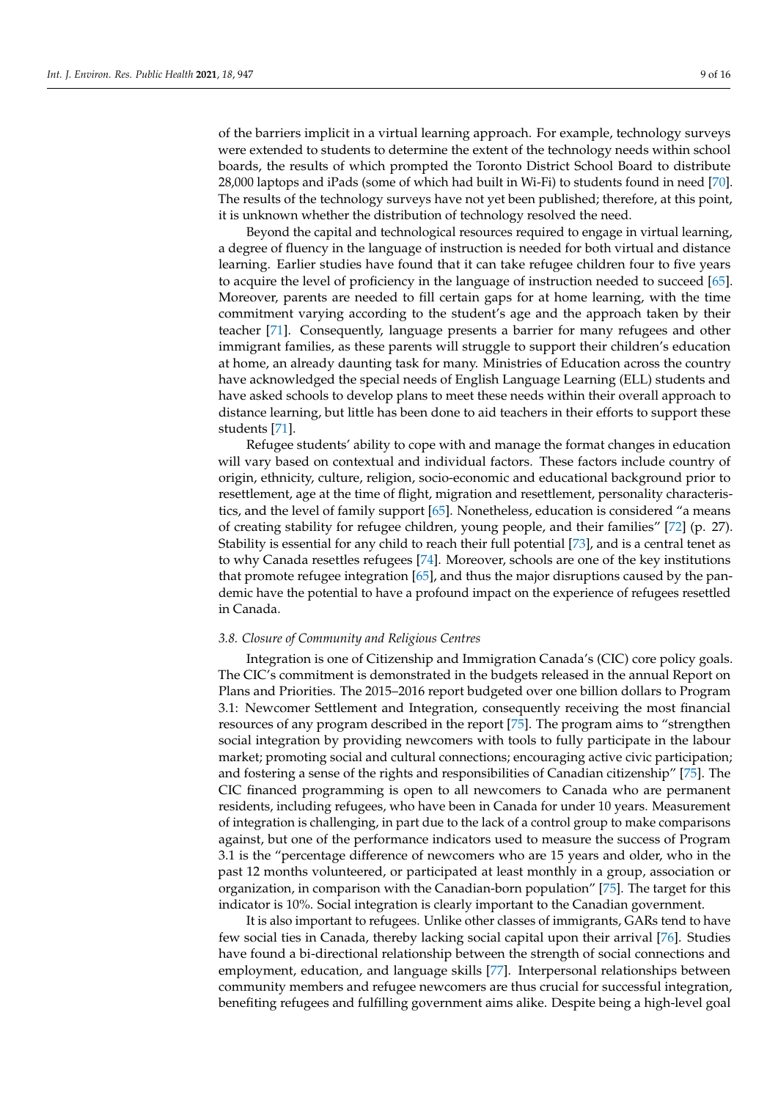of the barriers implicit in a virtual learning approach. For example, technology surveys were extended to students to determine the extent of the technology needs within school boards, the results of which prompted the Toronto District School Board to distribute 28,000 laptops and iPads (some of which had built in Wi-Fi) to students found in need [\[70\]](#page-14-6). The results of the technology surveys have not yet been published; therefore, at this point, it is unknown whether the distribution of technology resolved the need.

Beyond the capital and technological resources required to engage in virtual learning, a degree of fluency in the language of instruction is needed for both virtual and distance learning. Earlier studies have found that it can take refugee children four to five years to acquire the level of proficiency in the language of instruction needed to succeed [\[65\]](#page-14-1). Moreover, parents are needed to fill certain gaps for at home learning, with the time commitment varying according to the student's age and the approach taken by their teacher [\[71\]](#page-14-7). Consequently, language presents a barrier for many refugees and other immigrant families, as these parents will struggle to support their children's education at home, an already daunting task for many. Ministries of Education across the country have acknowledged the special needs of English Language Learning (ELL) students and have asked schools to develop plans to meet these needs within their overall approach to distance learning, but little has been done to aid teachers in their efforts to support these students [\[71\]](#page-14-7).

Refugee students' ability to cope with and manage the format changes in education will vary based on contextual and individual factors. These factors include country of origin, ethnicity, culture, religion, socio-economic and educational background prior to resettlement, age at the time of flight, migration and resettlement, personality characteristics, and the level of family support [\[65\]](#page-14-1). Nonetheless, education is considered "a means of creating stability for refugee children, young people, and their families" [\[72\]](#page-14-8) (p. 27). Stability is essential for any child to reach their full potential [\[73\]](#page-14-9), and is a central tenet as to why Canada resettles refugees [\[74\]](#page-14-10). Moreover, schools are one of the key institutions that promote refugee integration [\[65\]](#page-14-1), and thus the major disruptions caused by the pandemic have the potential to have a profound impact on the experience of refugees resettled in Canada.

## *3.8. Closure of Community and Religious Centres*

Integration is one of Citizenship and Immigration Canada's (CIC) core policy goals. The CIC's commitment is demonstrated in the budgets released in the annual Report on Plans and Priorities. The 2015–2016 report budgeted over one billion dollars to Program 3.1: Newcomer Settlement and Integration, consequently receiving the most financial resources of any program described in the report [\[75\]](#page-14-11). The program aims to "strengthen social integration by providing newcomers with tools to fully participate in the labour market; promoting social and cultural connections; encouraging active civic participation; and fostering a sense of the rights and responsibilities of Canadian citizenship" [\[75\]](#page-14-11). The CIC financed programming is open to all newcomers to Canada who are permanent residents, including refugees, who have been in Canada for under 10 years. Measurement of integration is challenging, in part due to the lack of a control group to make comparisons against, but one of the performance indicators used to measure the success of Program 3.1 is the "percentage difference of newcomers who are 15 years and older, who in the past 12 months volunteered, or participated at least monthly in a group, association or organization, in comparison with the Canadian-born population" [\[75\]](#page-14-11). The target for this indicator is 10%. Social integration is clearly important to the Canadian government.

It is also important to refugees. Unlike other classes of immigrants, GARs tend to have few social ties in Canada, thereby lacking social capital upon their arrival [\[76\]](#page-14-12). Studies have found a bi-directional relationship between the strength of social connections and employment, education, and language skills [\[77\]](#page-14-13). Interpersonal relationships between community members and refugee newcomers are thus crucial for successful integration, benefiting refugees and fulfilling government aims alike. Despite being a high-level goal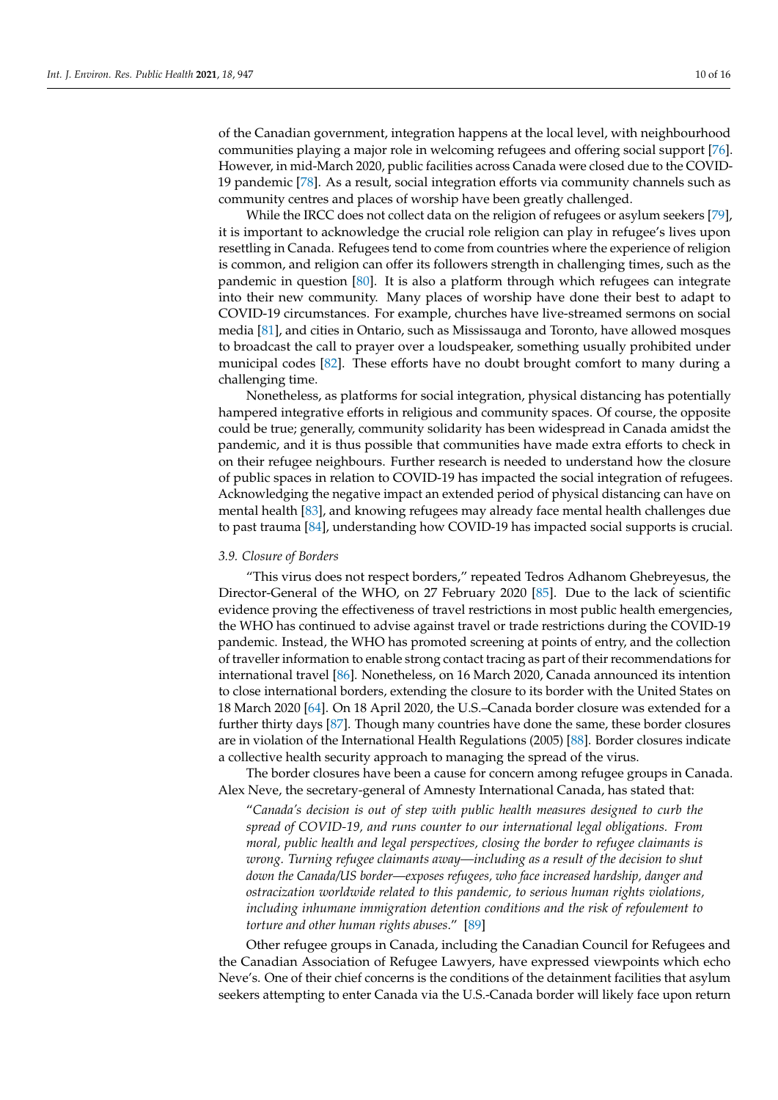of the Canadian government, integration happens at the local level, with neighbourhood communities playing a major role in welcoming refugees and offering social support [\[76\]](#page-14-12). However, in mid-March 2020, public facilities across Canada were closed due to the COVID-19 pandemic [\[78\]](#page-14-14). As a result, social integration efforts via community channels such as community centres and places of worship have been greatly challenged.

While the IRCC does not collect data on the religion of refugees or asylum seekers [\[79\]](#page-14-15), it is important to acknowledge the crucial role religion can play in refugee's lives upon resettling in Canada. Refugees tend to come from countries where the experience of religion is common, and religion can offer its followers strength in challenging times, such as the pandemic in question [\[80\]](#page-14-16). It is also a platform through which refugees can integrate into their new community. Many places of worship have done their best to adapt to COVID-19 circumstances. For example, churches have live-streamed sermons on social media [\[81\]](#page-14-17), and cities in Ontario, such as Mississauga and Toronto, have allowed mosques to broadcast the call to prayer over a loudspeaker, something usually prohibited under municipal codes [\[82\]](#page-14-18). These efforts have no doubt brought comfort to many during a challenging time.

Nonetheless, as platforms for social integration, physical distancing has potentially hampered integrative efforts in religious and community spaces. Of course, the opposite could be true; generally, community solidarity has been widespread in Canada amidst the pandemic, and it is thus possible that communities have made extra efforts to check in on their refugee neighbours. Further research is needed to understand how the closure of public spaces in relation to COVID-19 has impacted the social integration of refugees. Acknowledging the negative impact an extended period of physical distancing can have on mental health [\[83\]](#page-14-19), and knowing refugees may already face mental health challenges due to past trauma [\[84\]](#page-14-20), understanding how COVID-19 has impacted social supports is crucial.

#### *3.9. Closure of Borders*

"This virus does not respect borders," repeated Tedros Adhanom Ghebreyesus, the Director-General of the WHO, on 27 February 2020 [\[85\]](#page-14-21). Due to the lack of scientific evidence proving the effectiveness of travel restrictions in most public health emergencies, the WHO has continued to advise against travel or trade restrictions during the COVID-19 pandemic. Instead, the WHO has promoted screening at points of entry, and the collection of traveller information to enable strong contact tracing as part of their recommendations for international travel [\[86\]](#page-15-0). Nonetheless, on 16 March 2020, Canada announced its intention to close international borders, extending the closure to its border with the United States on 18 March 2020 [\[64\]](#page-14-0). On 18 April 2020, the U.S.–Canada border closure was extended for a further thirty days [\[87\]](#page-15-1). Though many countries have done the same, these border closures are in violation of the International Health Regulations (2005) [\[88\]](#page-15-2). Border closures indicate a collective health security approach to managing the spread of the virus.

The border closures have been a cause for concern among refugee groups in Canada. Alex Neve, the secretary-general of Amnesty International Canada, has stated that:

"*Canada's decision is out of step with public health measures designed to curb the spread of COVID-19, and runs counter to our international legal obligations. From moral, public health and legal perspectives, closing the border to refugee claimants is wrong. Turning refugee claimants away—including as a result of the decision to shut down the Canada/US border—exposes refugees, who face increased hardship, danger and ostracization worldwide related to this pandemic, to serious human rights violations, including inhumane immigration detention conditions and the risk of refoulement to torture and other human rights abuses*." [\[89\]](#page-15-3)

Other refugee groups in Canada, including the Canadian Council for Refugees and the Canadian Association of Refugee Lawyers, have expressed viewpoints which echo Neve's. One of their chief concerns is the conditions of the detainment facilities that asylum seekers attempting to enter Canada via the U.S.-Canada border will likely face upon return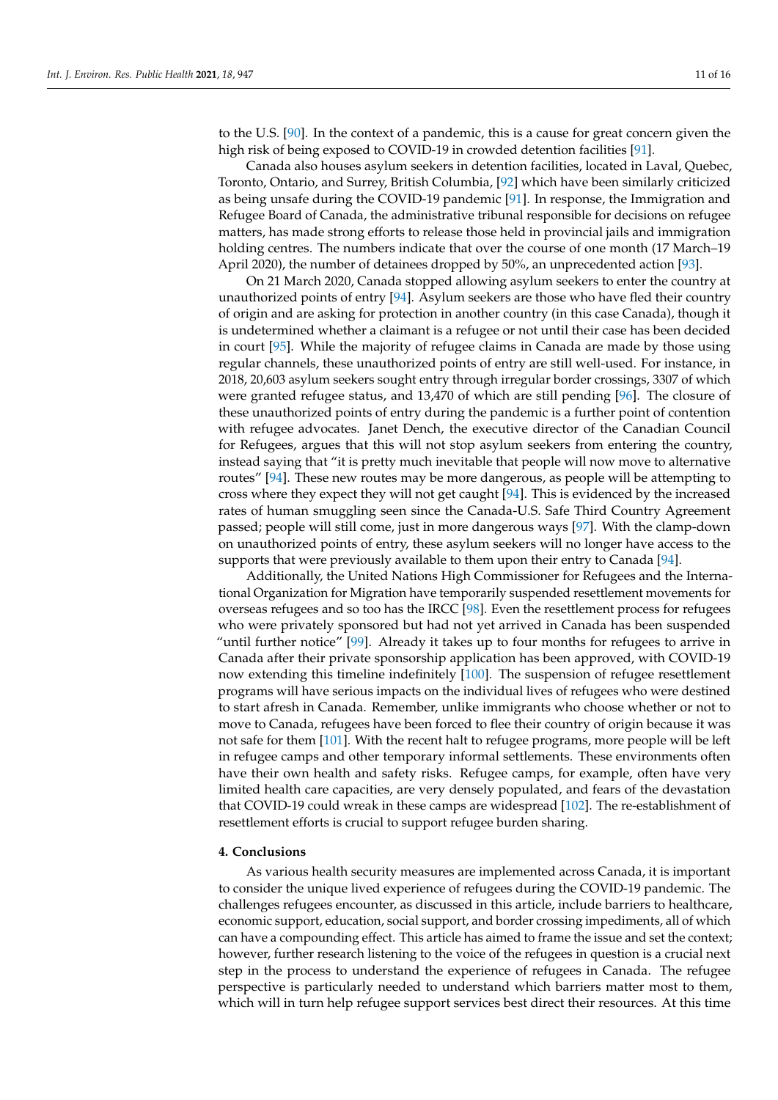to the U.S. [\[90\]](#page-15-4). In the context of a pandemic, this is a cause for great concern given the high risk of being exposed to COVID-19 in crowded detention facilities [\[91\]](#page-15-5).

Canada also houses asylum seekers in detention facilities, located in Laval, Quebec, Toronto, Ontario, and Surrey, British Columbia, [\[92\]](#page-15-6) which have been similarly criticized as being unsafe during the COVID-19 pandemic [\[91\]](#page-15-5). In response, the Immigration and Refugee Board of Canada, the administrative tribunal responsible for decisions on refugee matters, has made strong efforts to release those held in provincial jails and immigration holding centres. The numbers indicate that over the course of one month (17 March–19 April 2020), the number of detainees dropped by 50%, an unprecedented action [\[93\]](#page-15-7).

On 21 March 2020, Canada stopped allowing asylum seekers to enter the country at unauthorized points of entry [\[94\]](#page-15-8). Asylum seekers are those who have fled their country of origin and are asking for protection in another country (in this case Canada), though it is undetermined whether a claimant is a refugee or not until their case has been decided in court [\[95\]](#page-15-9). While the majority of refugee claims in Canada are made by those using regular channels, these unauthorized points of entry are still well-used. For instance, in 2018, 20,603 asylum seekers sought entry through irregular border crossings, 3307 of which were granted refugee status, and 13,470 of which are still pending [\[96\]](#page-15-10). The closure of these unauthorized points of entry during the pandemic is a further point of contention with refugee advocates. Janet Dench, the executive director of the Canadian Council for Refugees, argues that this will not stop asylum seekers from entering the country, instead saying that "it is pretty much inevitable that people will now move to alternative routes" [\[94\]](#page-15-8). These new routes may be more dangerous, as people will be attempting to cross where they expect they will not get caught [\[94\]](#page-15-8). This is evidenced by the increased rates of human smuggling seen since the Canada-U.S. Safe Third Country Agreement passed; people will still come, just in more dangerous ways [\[97\]](#page-15-11). With the clamp-down on unauthorized points of entry, these asylum seekers will no longer have access to the supports that were previously available to them upon their entry to Canada [\[94\]](#page-15-8).

Additionally, the United Nations High Commissioner for Refugees and the International Organization for Migration have temporarily suspended resettlement movements for overseas refugees and so too has the IRCC [\[98\]](#page-15-12). Even the resettlement process for refugees who were privately sponsored but had not yet arrived in Canada has been suspended "until further notice" [\[99\]](#page-15-13). Already it takes up to four months for refugees to arrive in Canada after their private sponsorship application has been approved, with COVID-19 now extending this timeline indefinitely [\[100\]](#page-15-14). The suspension of refugee resettlement programs will have serious impacts on the individual lives of refugees who were destined to start afresh in Canada. Remember, unlike immigrants who choose whether or not to move to Canada, refugees have been forced to flee their country of origin because it was not safe for them [\[101\]](#page-15-15). With the recent halt to refugee programs, more people will be left in refugee camps and other temporary informal settlements. These environments often have their own health and safety risks. Refugee camps, for example, often have very limited health care capacities, are very densely populated, and fears of the devastation that COVID-19 could wreak in these camps are widespread [\[102\]](#page-15-16). The re-establishment of resettlement efforts is crucial to support refugee burden sharing.

#### **4. Conclusions**

As various health security measures are implemented across Canada, it is important to consider the unique lived experience of refugees during the COVID-19 pandemic. The challenges refugees encounter, as discussed in this article, include barriers to healthcare, economic support, education, social support, and border crossing impediments, all of which can have a compounding effect. This article has aimed to frame the issue and set the context; however, further research listening to the voice of the refugees in question is a crucial next step in the process to understand the experience of refugees in Canada. The refugee perspective is particularly needed to understand which barriers matter most to them, which will in turn help refugee support services best direct their resources. At this time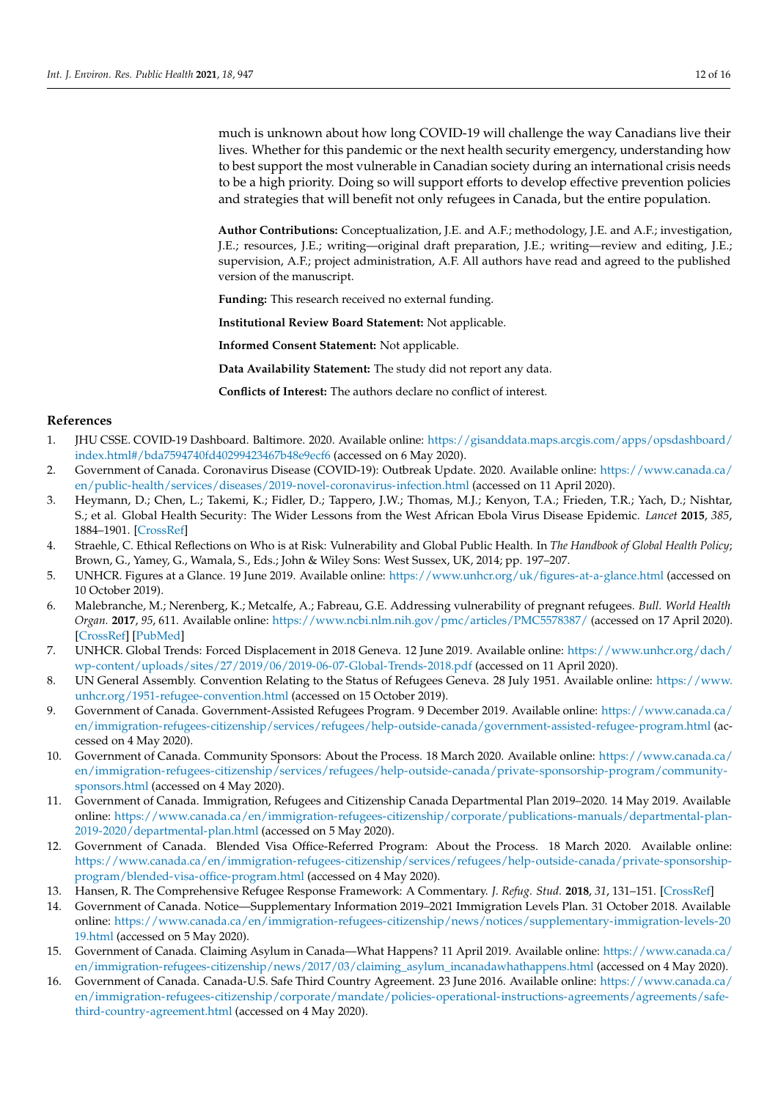much is unknown about how long COVID-19 will challenge the way Canadians live their lives. Whether for this pandemic or the next health security emergency, understanding how to best support the most vulnerable in Canadian society during an international crisis needs to be a high priority. Doing so will support efforts to develop effective prevention policies and strategies that will benefit not only refugees in Canada, but the entire population.

**Author Contributions:** Conceptualization, J.E. and A.F.; methodology, J.E. and A.F.; investigation, J.E.; resources, J.E.; writing—original draft preparation, J.E.; writing—review and editing, J.E.; supervision, A.F.; project administration, A.F. All authors have read and agreed to the published version of the manuscript.

**Funding:** This research received no external funding.

**Institutional Review Board Statement:** Not applicable.

**Informed Consent Statement:** Not applicable.

**Data Availability Statement:** The study did not report any data.

**Conflicts of Interest:** The authors declare no conflict of interest.

## **References**

- <span id="page-11-0"></span>1. JHU CSSE. COVID-19 Dashboard. Baltimore. 2020. Available online: [https://gisanddata.maps.arcgis.com/apps/opsdashboard/](https://gisanddata.maps.arcgis.com/apps/opsdashboard/index.html#/bda7594740fd40299423467b48e9ecf6) [index.html#/bda7594740fd40299423467b48e9ecf6](https://gisanddata.maps.arcgis.com/apps/opsdashboard/index.html#/bda7594740fd40299423467b48e9ecf6) (accessed on 6 May 2020).
- <span id="page-11-1"></span>2. Government of Canada. Coronavirus Disease (COVID-19): Outbreak Update. 2020. Available online: [https://www.canada.ca/](https://www.canada.ca/en/public-health/services/diseases/2019-novel-coronavirus-infection.html) [en/public-health/services/diseases/2019-novel-coronavirus-infection.html](https://www.canada.ca/en/public-health/services/diseases/2019-novel-coronavirus-infection.html) (accessed on 11 April 2020).
- <span id="page-11-2"></span>3. Heymann, D.; Chen, L.; Takemi, K.; Fidler, D.; Tappero, J.W.; Thomas, M.J.; Kenyon, T.A.; Frieden, T.R.; Yach, D.; Nishtar, S.; et al. Global Health Security: The Wider Lessons from the West African Ebola Virus Disease Epidemic. *Lancet* **2015**, *385*, 1884–1901. [\[CrossRef\]](http://doi.org/10.1016/S0140-6736(15)60858-3)
- <span id="page-11-3"></span>4. Straehle, C. Ethical Reflections on Who is at Risk: Vulnerability and Global Public Health. In *The Handbook of Global Health Policy*; Brown, G., Yamey, G., Wamala, S., Eds.; John & Wiley Sons: West Sussex, UK, 2014; pp. 197–207.
- <span id="page-11-4"></span>5. UNHCR. Figures at a Glance. 19 June 2019. Available online: <https://www.unhcr.org/uk/figures-at-a-glance.html> (accessed on 10 October 2019).
- <span id="page-11-5"></span>6. Malebranche, M.; Nerenberg, K.; Metcalfe, A.; Fabreau, G.E. Addressing vulnerability of pregnant refugees. *Bull. World Health Organ.* **2017**, *95*, 611. Available online: <https://www.ncbi.nlm.nih.gov/pmc/articles/PMC5578387/> (accessed on 17 April 2020). [\[CrossRef\]](http://doi.org/10.2471/BLT.17.193664) [\[PubMed\]](http://www.ncbi.nlm.nih.gov/pubmed/28867838)
- <span id="page-11-6"></span>7. UNHCR. Global Trends: Forced Displacement in 2018 Geneva. 12 June 2019. Available online: [https://www.unhcr.org/dach/](https://www.unhcr.org/dach/wp-content/uploads/sites/27/2019/06/2019-06-07-Global-Trends-2018.pdf) [wp-content/uploads/sites/27/2019/06/2019-06-07-Global-Trends-2018.pdf](https://www.unhcr.org/dach/wp-content/uploads/sites/27/2019/06/2019-06-07-Global-Trends-2018.pdf) (accessed on 11 April 2020).
- <span id="page-11-7"></span>8. UN General Assembly. Convention Relating to the Status of Refugees Geneva. 28 July 1951. Available online: [https://www.](https://www.unhcr.org/1951-refugee-convention.html) [unhcr.org/1951-refugee-convention.html](https://www.unhcr.org/1951-refugee-convention.html) (accessed on 15 October 2019).
- <span id="page-11-8"></span>9. Government of Canada. Government-Assisted Refugees Program. 9 December 2019. Available online: [https://www.canada.ca/](https://www.canada.ca/en/immigration-refugees-citizenship/services/refugees/help-outside-canada/government-assisted-refugee-program.html) [en/immigration-refugees-citizenship/services/refugees/help-outside-canada/government-assisted-refugee-program.html](https://www.canada.ca/en/immigration-refugees-citizenship/services/refugees/help-outside-canada/government-assisted-refugee-program.html) (accessed on 4 May 2020).
- <span id="page-11-9"></span>10. Government of Canada. Community Sponsors: About the Process. 18 March 2020. Available online: [https://www.canada.ca/](https://www.canada.ca/en/immigration-refugees-citizenship/services/refugees/help-outside-canada/private-sponsorship-program/community-sponsors.html) [en/immigration-refugees-citizenship/services/refugees/help-outside-canada/private-sponsorship-program/community](https://www.canada.ca/en/immigration-refugees-citizenship/services/refugees/help-outside-canada/private-sponsorship-program/community-sponsors.html)[sponsors.html](https://www.canada.ca/en/immigration-refugees-citizenship/services/refugees/help-outside-canada/private-sponsorship-program/community-sponsors.html) (accessed on 4 May 2020).
- <span id="page-11-10"></span>11. Government of Canada. Immigration, Refugees and Citizenship Canada Departmental Plan 2019–2020. 14 May 2019. Available online: [https://www.canada.ca/en/immigration-refugees-citizenship/corporate/publications-manuals/departmental-plan-](https://www.canada.ca/en/immigration-refugees-citizenship/corporate/publications-manuals/departmental-plan-2019-2020/departmental-plan.html)[2019-2020/departmental-plan.html](https://www.canada.ca/en/immigration-refugees-citizenship/corporate/publications-manuals/departmental-plan-2019-2020/departmental-plan.html) (accessed on 5 May 2020).
- <span id="page-11-11"></span>12. Government of Canada. Blended Visa Office-Referred Program: About the Process. 18 March 2020. Available online: [https://www.canada.ca/en/immigration-refugees-citizenship/services/refugees/help-outside-canada/private-sponsorship](https://www.canada.ca/en/immigration-refugees-citizenship/services/refugees/help-outside-canada/private-sponsorship-program/blended-visa-office-program.html)[program/blended-visa-office-program.html](https://www.canada.ca/en/immigration-refugees-citizenship/services/refugees/help-outside-canada/private-sponsorship-program/blended-visa-office-program.html) (accessed on 4 May 2020).
- <span id="page-11-12"></span>13. Hansen, R. The Comprehensive Refugee Response Framework: A Commentary. *J. Refug. Stud.* **2018**, *31*, 131–151. [\[CrossRef\]](http://doi.org/10.1093/jrs/fey020)
- <span id="page-11-13"></span>14. Government of Canada. Notice—Supplementary Information 2019–2021 Immigration Levels Plan. 31 October 2018. Available online: [https://www.canada.ca/en/immigration-refugees-citizenship/news/notices/supplementary-immigration-levels-20](https://www.canada.ca/en/immigration-refugees-citizenship/news/notices/supplementary-immigration-levels-2019.html) [19.html](https://www.canada.ca/en/immigration-refugees-citizenship/news/notices/supplementary-immigration-levels-2019.html) (accessed on 5 May 2020).
- <span id="page-11-14"></span>15. Government of Canada. Claiming Asylum in Canada—What Happens? 11 April 2019. Available online: [https://www.canada.ca/](https://www.canada.ca/en/immigration-refugees-citizenship/news/2017/03/claiming_asylum_incanadawhathappens.html) [en/immigration-refugees-citizenship/news/2017/03/claiming\\_asylum\\_incanadawhathappens.html](https://www.canada.ca/en/immigration-refugees-citizenship/news/2017/03/claiming_asylum_incanadawhathappens.html) (accessed on 4 May 2020).
- <span id="page-11-15"></span>16. Government of Canada. Canada-U.S. Safe Third Country Agreement. 23 June 2016. Available online: [https://www.canada.ca/](https://www.canada.ca/en/immigration-refugees-citizenship/corporate/mandate/policies-operational-instructions-agreements/agreements/safe-third-country-agreement.html) [en/immigration-refugees-citizenship/corporate/mandate/policies-operational-instructions-agreements/agreements/safe](https://www.canada.ca/en/immigration-refugees-citizenship/corporate/mandate/policies-operational-instructions-agreements/agreements/safe-third-country-agreement.html)[third-country-agreement.html](https://www.canada.ca/en/immigration-refugees-citizenship/corporate/mandate/policies-operational-instructions-agreements/agreements/safe-third-country-agreement.html) (accessed on 4 May 2020).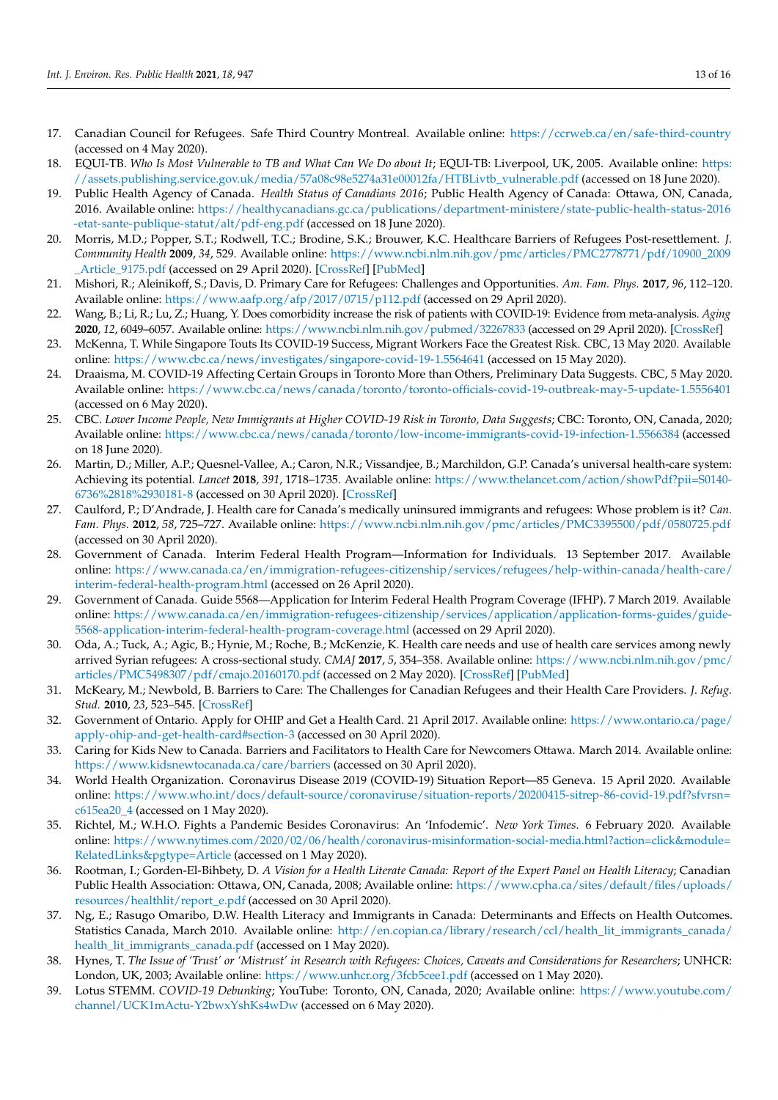- <span id="page-12-0"></span>17. Canadian Council for Refugees. Safe Third Country Montreal. Available online: <https://ccrweb.ca/en/safe-third-country> (accessed on 4 May 2020).
- <span id="page-12-1"></span>18. EQUI-TB. *Who Is Most Vulnerable to TB and What Can We Do about It*; EQUI-TB: Liverpool, UK, 2005. Available online: [https:](https://assets.publishing.service.gov.uk/media/57a08c98e5274a31e00012fa/HTBLivtb_vulnerable.pdf) [//assets.publishing.service.gov.uk/media/57a08c98e5274a31e00012fa/HTBLivtb\\_vulnerable.pdf](https://assets.publishing.service.gov.uk/media/57a08c98e5274a31e00012fa/HTBLivtb_vulnerable.pdf) (accessed on 18 June 2020).
- <span id="page-12-2"></span>19. Public Health Agency of Canada. *Health Status of Canadians 2016*; Public Health Agency of Canada: Ottawa, ON, Canada, 2016. Available online: [https://healthycanadians.gc.ca/publications/department-ministere/state-public-health-status-2016](https://healthycanadians.gc.ca/publications/department-ministere/state-public-health-status-2016-etat-sante-publique-statut/alt/pdf-eng.pdf) [-etat-sante-publique-statut/alt/pdf-eng.pdf](https://healthycanadians.gc.ca/publications/department-ministere/state-public-health-status-2016-etat-sante-publique-statut/alt/pdf-eng.pdf) (accessed on 18 June 2020).
- <span id="page-12-3"></span>20. Morris, M.D.; Popper, S.T.; Rodwell, T.C.; Brodine, S.K.; Brouwer, K.C. Healthcare Barriers of Refugees Post-resettlement. *J. Community Health* **2009**, *34*, 529. Available online: [https://www.ncbi.nlm.nih.gov/pmc/articles/PMC2778771/pdf/10900\\_2009](https://www.ncbi.nlm.nih.gov/pmc/articles/PMC2778771/pdf/10900_2009_Article_9175.pdf) [\\_Article\\_9175.pdf](https://www.ncbi.nlm.nih.gov/pmc/articles/PMC2778771/pdf/10900_2009_Article_9175.pdf) (accessed on 29 April 2020). [\[CrossRef\]](http://doi.org/10.1007/s10900-009-9175-3) [\[PubMed\]](http://www.ncbi.nlm.nih.gov/pubmed/19705264)
- <span id="page-12-4"></span>21. Mishori, R.; Aleinikoff, S.; Davis, D. Primary Care for Refugees: Challenges and Opportunities. *Am. Fam. Phys.* **2017**, *96*, 112–120. Available online: <https://www.aafp.org/afp/2017/0715/p112.pdf> (accessed on 29 April 2020).
- <span id="page-12-5"></span>22. Wang, B.; Li, R.; Lu, Z.; Huang, Y. Does comorbidity increase the risk of patients with COVID-19: Evidence from meta-analysis. *Aging* **2020**, *12*, 6049–6057. Available online: <https://www.ncbi.nlm.nih.gov/pubmed/32267833> (accessed on 29 April 2020). [\[CrossRef\]](http://doi.org/10.18632/aging.103000)
- <span id="page-12-6"></span>23. McKenna, T. While Singapore Touts Its COVID-19 Success, Migrant Workers Face the Greatest Risk. CBC, 13 May 2020. Available online: <https://www.cbc.ca/news/investigates/singapore-covid-19-1.5564641> (accessed on 15 May 2020).
- <span id="page-12-7"></span>24. Draaisma, M. COVID-19 Affecting Certain Groups in Toronto More than Others, Preliminary Data Suggests. CBC, 5 May 2020. Available online: <https://www.cbc.ca/news/canada/toronto/toronto-officials-covid-19-outbreak-may-5-update-1.5556401> (accessed on 6 May 2020).
- <span id="page-12-8"></span>25. CBC. *Lower Income People, New Immigrants at Higher COVID-19 Risk in Toronto, Data Suggests*; CBC: Toronto, ON, Canada, 2020; Available online: <https://www.cbc.ca/news/canada/toronto/low-income-immigrants-covid-19-infection-1.5566384> (accessed on 18 June 2020).
- <span id="page-12-9"></span>26. Martin, D.; Miller, A.P.; Quesnel-Vallee, A.; Caron, N.R.; Vissandjee, B.; Marchildon, G.P. Canada's universal health-care system: Achieving its potential. *Lancet* **2018**, *391*, 1718–1735. Available online: [https://www.thelancet.com/action/showPdf?pii=S0140-](https://www.thelancet.com/action/showPdf?pii=S0140-6736%2818%2930181-8) [6736%2818%2930181-8](https://www.thelancet.com/action/showPdf?pii=S0140-6736%2818%2930181-8) (accessed on 30 April 2020). [\[CrossRef\]](http://doi.org/10.1016/S0140-6736(18)30181-8)
- <span id="page-12-10"></span>27. Caulford, P.; D'Andrade, J. Health care for Canada's medically uninsured immigrants and refugees: Whose problem is it? *Can. Fam. Phys.* **2012**, *58*, 725–727. Available online: <https://www.ncbi.nlm.nih.gov/pmc/articles/PMC3395500/pdf/0580725.pdf> (accessed on 30 April 2020).
- <span id="page-12-11"></span>28. Government of Canada. Interim Federal Health Program—Information for Individuals. 13 September 2017. Available online: [https://www.canada.ca/en/immigration-refugees-citizenship/services/refugees/help-within-canada/health-care/](https://www.canada.ca/en/immigration-refugees-citizenship/services/refugees/help-within-canada/health-care/interim-federal-health-program.html) [interim-federal-health-program.html](https://www.canada.ca/en/immigration-refugees-citizenship/services/refugees/help-within-canada/health-care/interim-federal-health-program.html) (accessed on 26 April 2020).
- <span id="page-12-12"></span>29. Government of Canada. Guide 5568—Application for Interim Federal Health Program Coverage (IFHP). 7 March 2019. Available online: [https://www.canada.ca/en/immigration-refugees-citizenship/services/application/application-forms-guides/guide-](https://www.canada.ca/en/immigration-refugees-citizenship/services/application/application-forms-guides/guide-5568-application-interim-federal-health-program-coverage.html)[5568-application-interim-federal-health-program-coverage.html](https://www.canada.ca/en/immigration-refugees-citizenship/services/application/application-forms-guides/guide-5568-application-interim-federal-health-program-coverage.html) (accessed on 29 April 2020).
- <span id="page-12-13"></span>30. Oda, A.; Tuck, A.; Agic, B.; Hynie, M.; Roche, B.; McKenzie, K. Health care needs and use of health care services among newly arrived Syrian refugees: A cross-sectional study. *CMAJ* **2017**, *5*, 354–358. Available online: [https://www.ncbi.nlm.nih.gov/pmc/](https://www.ncbi.nlm.nih.gov/pmc/articles/PMC5498307/pdf/cmajo.20160170.pdf) [articles/PMC5498307/pdf/cmajo.20160170.pdf](https://www.ncbi.nlm.nih.gov/pmc/articles/PMC5498307/pdf/cmajo.20160170.pdf) (accessed on 2 May 2020). [\[CrossRef\]](http://doi.org/10.9778/cmajo.20160170) [\[PubMed\]](http://www.ncbi.nlm.nih.gov/pubmed/28490426)
- <span id="page-12-14"></span>31. McKeary, M.; Newbold, B. Barriers to Care: The Challenges for Canadian Refugees and their Health Care Providers. *J. Refug. Stud.* **2010**, *23*, 523–545. [\[CrossRef\]](http://doi.org/10.1093/jrs/feq038)
- <span id="page-12-15"></span>32. Government of Ontario. Apply for OHIP and Get a Health Card. 21 April 2017. Available online: [https://www.ontario.ca/page/](https://www.ontario.ca/page/apply-ohip-and-get-health-card#section-3) [apply-ohip-and-get-health-card#section-3](https://www.ontario.ca/page/apply-ohip-and-get-health-card#section-3) (accessed on 30 April 2020).
- <span id="page-12-16"></span>33. Caring for Kids New to Canada. Barriers and Facilitators to Health Care for Newcomers Ottawa. March 2014. Available online: <https://www.kidsnewtocanada.ca/care/barriers> (accessed on 30 April 2020).
- <span id="page-12-17"></span>34. World Health Organization. Coronavirus Disease 2019 (COVID-19) Situation Report—85 Geneva. 15 April 2020. Available online: [https://www.who.int/docs/default-source/coronaviruse/situation-reports/20200415-sitrep-86-covid-19.pdf?sfvrsn=](https://www.who.int/docs/default-source/coronaviruse/situation-reports/20200415-sitrep-86-covid-19.pdf?sfvrsn=c615ea20_4) [c615ea20\\_4](https://www.who.int/docs/default-source/coronaviruse/situation-reports/20200415-sitrep-86-covid-19.pdf?sfvrsn=c615ea20_4) (accessed on 1 May 2020).
- <span id="page-12-18"></span>35. Richtel, M.; W.H.O. Fights a Pandemic Besides Coronavirus: An 'Infodemic'. *New York Times*. 6 February 2020. Available online: [https://www.nytimes.com/2020/02/06/health/coronavirus-misinformation-social-media.html?action=click&module=](https://www.nytimes.com/2020/02/06/health/coronavirus-misinformation-social-media.html?action=click&module=RelatedLinks&pgtype=Article) [RelatedLinks&pgtype=Article](https://www.nytimes.com/2020/02/06/health/coronavirus-misinformation-social-media.html?action=click&module=RelatedLinks&pgtype=Article) (accessed on 1 May 2020).
- <span id="page-12-19"></span>36. Rootman, I.; Gorden-El-Bihbety, D. *A Vision for a Health Literate Canada: Report of the Expert Panel on Health Literacy*; Canadian Public Health Association: Ottawa, ON, Canada, 2008; Available online: [https://www.cpha.ca/sites/default/files/uploads/](https://www.cpha.ca/sites/default/files/uploads/resources/healthlit/report_e.pdf) [resources/healthlit/report\\_e.pdf](https://www.cpha.ca/sites/default/files/uploads/resources/healthlit/report_e.pdf) (accessed on 30 April 2020).
- <span id="page-12-20"></span>37. Ng, E.; Rasugo Omaribo, D.W. Health Literacy and Immigrants in Canada: Determinants and Effects on Health Outcomes. Statistics Canada, March 2010. Available online: [http://en.copian.ca/library/research/ccl/health\\_lit\\_immigrants\\_canada/](http://en.copian.ca/library/research/ccl/health_lit_immigrants_canada/health_lit_immigrants_canada.pdf) [health\\_lit\\_immigrants\\_canada.pdf](http://en.copian.ca/library/research/ccl/health_lit_immigrants_canada/health_lit_immigrants_canada.pdf) (accessed on 1 May 2020).
- <span id="page-12-21"></span>38. Hynes, T. *The Issue of 'Trust' or 'Mistrust' in Research with Refugees: Choices, Caveats and Considerations for Researchers*; UNHCR: London, UK, 2003; Available online: <https://www.unhcr.org/3fcb5cee1.pdf> (accessed on 1 May 2020).
- <span id="page-12-22"></span>39. Lotus STEMM. *COVID-19 Debunking*; YouTube: Toronto, ON, Canada, 2020; Available online: [https://www.youtube.com/](https://www.youtube.com/channel/UCK1mActu-Y2bwxYshKs4wDw) [channel/UCK1mActu-Y2bwxYshKs4wDw](https://www.youtube.com/channel/UCK1mActu-Y2bwxYshKs4wDw) (accessed on 6 May 2020).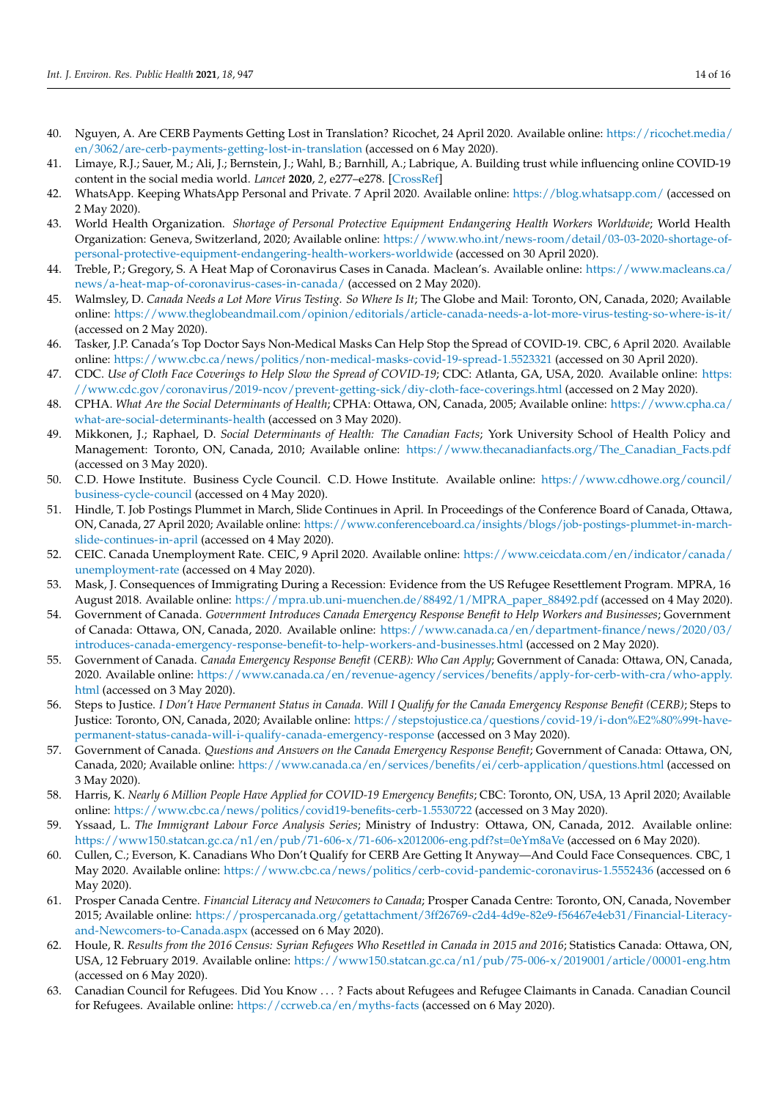- <span id="page-13-0"></span>40. Nguyen, A. Are CERB Payments Getting Lost in Translation? Ricochet, 24 April 2020. Available online: [https://ricochet.media/](https://ricochet.media/en/3062/are-cerb-payments-getting-lost-in-translation) [en/3062/are-cerb-payments-getting-lost-in-translation](https://ricochet.media/en/3062/are-cerb-payments-getting-lost-in-translation) (accessed on 6 May 2020).
- <span id="page-13-1"></span>41. Limaye, R.J.; Sauer, M.; Ali, J.; Bernstein, J.; Wahl, B.; Barnhill, A.; Labrique, A. Building trust while influencing online COVID-19 content in the social media world. *Lancet* **2020**, *2*, e277–e278. [\[CrossRef\]](http://doi.org/10.1016/S2589-7500(20)30084-4)
- <span id="page-13-2"></span>42. WhatsApp. Keeping WhatsApp Personal and Private. 7 April 2020. Available online: <https://blog.whatsapp.com/> (accessed on 2 May 2020).
- <span id="page-13-3"></span>43. World Health Organization. *Shortage of Personal Protective Equipment Endangering Health Workers Worldwide*; World Health Organization: Geneva, Switzerland, 2020; Available online: [https://www.who.int/news-room/detail/03-03-2020-shortage-of](https://www.who.int/news-room/detail/03-03-2020-shortage-of-personal-protective-equipment-endangering-health-workers-worldwide)[personal-protective-equipment-endangering-health-workers-worldwide](https://www.who.int/news-room/detail/03-03-2020-shortage-of-personal-protective-equipment-endangering-health-workers-worldwide) (accessed on 30 April 2020).
- <span id="page-13-4"></span>44. Treble, P.; Gregory, S. A Heat Map of Coronavirus Cases in Canada. Maclean's. Available online: [https://www.macleans.ca/](https://www.macleans.ca/news/a-heat-map-of-coronavirus-cases-in-canada/) [news/a-heat-map-of-coronavirus-cases-in-canada/](https://www.macleans.ca/news/a-heat-map-of-coronavirus-cases-in-canada/) (accessed on 2 May 2020).
- <span id="page-13-5"></span>45. Walmsley, D. *Canada Needs a Lot More Virus Testing. So Where Is It*; The Globe and Mail: Toronto, ON, Canada, 2020; Available online: <https://www.theglobeandmail.com/opinion/editorials/article-canada-needs-a-lot-more-virus-testing-so-where-is-it/> (accessed on 2 May 2020).
- <span id="page-13-6"></span>46. Tasker, J.P. Canada's Top Doctor Says Non-Medical Masks Can Help Stop the Spread of COVID-19. CBC, 6 April 2020. Available online: <https://www.cbc.ca/news/politics/non-medical-masks-covid-19-spread-1.5523321> (accessed on 30 April 2020).
- <span id="page-13-7"></span>47. CDC. *Use of Cloth Face Coverings to Help Slow the Spread of COVID-19*; CDC: Atlanta, GA, USA, 2020. Available online: [https:](https://www.cdc.gov/coronavirus/2019-ncov/prevent-getting-sick/diy-cloth-face-coverings.html) [//www.cdc.gov/coronavirus/2019-ncov/prevent-getting-sick/diy-cloth-face-coverings.html](https://www.cdc.gov/coronavirus/2019-ncov/prevent-getting-sick/diy-cloth-face-coverings.html) (accessed on 2 May 2020).
- <span id="page-13-8"></span>48. CPHA. *What Are the Social Determinants of Health*; CPHA: Ottawa, ON, Canada, 2005; Available online: [https://www.cpha.ca/](https://www.cpha.ca/what-are-social-determinants-health) [what-are-social-determinants-health](https://www.cpha.ca/what-are-social-determinants-health) (accessed on 3 May 2020).
- <span id="page-13-9"></span>49. Mikkonen, J.; Raphael, D. *Social Determinants of Health: The Canadian Facts*; York University School of Health Policy and Management: Toronto, ON, Canada, 2010; Available online: [https://www.thecanadianfacts.org/The\\_Canadian\\_Facts.pdf](https://www.thecanadianfacts.org/The_Canadian_Facts.pdf) (accessed on 3 May 2020).
- <span id="page-13-10"></span>50. C.D. Howe Institute. Business Cycle Council. C.D. Howe Institute. Available online: [https://www.cdhowe.org/council/](https://www.cdhowe.org/council/business-cycle-council) [business-cycle-council](https://www.cdhowe.org/council/business-cycle-council) (accessed on 4 May 2020).
- <span id="page-13-11"></span>51. Hindle, T. Job Postings Plummet in March, Slide Continues in April. In Proceedings of the Conference Board of Canada, Ottawa, ON, Canada, 27 April 2020; Available online: [https://www.conferenceboard.ca/insights/blogs/job-postings-plummet-in-march](https://www.conferenceboard.ca/insights/blogs/job-postings-plummet-in-march-slide-continues-in-april)[slide-continues-in-april](https://www.conferenceboard.ca/insights/blogs/job-postings-plummet-in-march-slide-continues-in-april) (accessed on 4 May 2020).
- <span id="page-13-12"></span>52. CEIC. Canada Unemployment Rate. CEIC, 9 April 2020. Available online: [https://www.ceicdata.com/en/indicator/canada/](https://www.ceicdata.com/en/indicator/canada/unemployment-rate) [unemployment-rate](https://www.ceicdata.com/en/indicator/canada/unemployment-rate) (accessed on 4 May 2020).
- <span id="page-13-13"></span>53. Mask, J. Consequences of Immigrating During a Recession: Evidence from the US Refugee Resettlement Program. MPRA, 16 August 2018. Available online: [https://mpra.ub.uni-muenchen.de/88492/1/MPRA\\_paper\\_88492.pdf](https://mpra.ub.uni-muenchen.de/88492/1/MPRA_paper_88492.pdf) (accessed on 4 May 2020).
- <span id="page-13-14"></span>54. Government of Canada. *Government Introduces Canada Emergency Response Benefit to Help Workers and Businesses*; Government of Canada: Ottawa, ON, Canada, 2020. Available online: [https://www.canada.ca/en/department-finance/news/2020/03/](https://www.canada.ca/en/department-finance/news/2020/03/introduces-canada-emergency-response-benefit-to-help-workers-and-businesses.html) [introduces-canada-emergency-response-benefit-to-help-workers-and-businesses.html](https://www.canada.ca/en/department-finance/news/2020/03/introduces-canada-emergency-response-benefit-to-help-workers-and-businesses.html) (accessed on 2 May 2020).
- <span id="page-13-15"></span>55. Government of Canada. *Canada Emergency Response Benefit (CERB): Who Can Apply*; Government of Canada: Ottawa, ON, Canada, 2020. Available online: [https://www.canada.ca/en/revenue-agency/services/benefits/apply-for-cerb-with-cra/who-apply.](https://www.canada.ca/en/revenue-agency/services/benefits/apply-for-cerb-with-cra/who-apply.html) [html](https://www.canada.ca/en/revenue-agency/services/benefits/apply-for-cerb-with-cra/who-apply.html) (accessed on 3 May 2020).
- <span id="page-13-16"></span>56. Steps to Justice. *I Don't Have Permanent Status in Canada. Will I Qualify for the Canada Emergency Response Benefit (CERB)*; Steps to Justice: Toronto, ON, Canada, 2020; Available online: [https://stepstojustice.ca/questions/covid-19/i-don%E2%80%99t-have](https://stepstojustice.ca/questions/covid-19/i-don%E2%80%99t-have-permanent-status-canada-will-i-qualify-canada-emergency-response)[permanent-status-canada-will-i-qualify-canada-emergency-response](https://stepstojustice.ca/questions/covid-19/i-don%E2%80%99t-have-permanent-status-canada-will-i-qualify-canada-emergency-response) (accessed on 3 May 2020).
- <span id="page-13-17"></span>57. Government of Canada. *Questions and Answers on the Canada Emergency Response Benefit*; Government of Canada: Ottawa, ON, Canada, 2020; Available online: <https://www.canada.ca/en/services/benefits/ei/cerb-application/questions.html> (accessed on 3 May 2020).
- <span id="page-13-18"></span>58. Harris, K. *Nearly 6 Million People Have Applied for COVID-19 Emergency Benefits*; CBC: Toronto, ON, USA, 13 April 2020; Available online: <https://www.cbc.ca/news/politics/covid19-benefits-cerb-1.5530722> (accessed on 3 May 2020).
- <span id="page-13-19"></span>59. Yssaad, L. *The Immigrant Labour Force Analysis Series*; Ministry of Industry: Ottawa, ON, Canada, 2012. Available online: <https://www150.statcan.gc.ca/n1/en/pub/71-606-x/71-606-x2012006-eng.pdf?st=0eYm8aVe> (accessed on 6 May 2020).
- <span id="page-13-20"></span>60. Cullen, C.; Everson, K. Canadians Who Don't Qualify for CERB Are Getting It Anyway—And Could Face Consequences. CBC, 1 May 2020. Available online: <https://www.cbc.ca/news/politics/cerb-covid-pandemic-coronavirus-1.5552436> (accessed on 6 May 2020).
- <span id="page-13-21"></span>61. Prosper Canada Centre. *Financial Literacy and Newcomers to Canada*; Prosper Canada Centre: Toronto, ON, Canada, November 2015; Available online: [https://prospercanada.org/getattachment/3ff26769-c2d4-4d9e-82e9-f56467e4eb31/Financial-Literacy](https://prospercanada.org/getattachment/3ff26769-c2d4-4d9e-82e9-f56467e4eb31/Financial-Literacy-and-Newcomers-to-Canada.aspx)[and-Newcomers-to-Canada.aspx](https://prospercanada.org/getattachment/3ff26769-c2d4-4d9e-82e9-f56467e4eb31/Financial-Literacy-and-Newcomers-to-Canada.aspx) (accessed on 6 May 2020).
- <span id="page-13-22"></span>62. Houle, R. *Results from the 2016 Census: Syrian Refugees Who Resettled in Canada in 2015 and 2016*; Statistics Canada: Ottawa, ON, USA, 12 February 2019. Available online: <https://www150.statcan.gc.ca/n1/pub/75-006-x/2019001/article/00001-eng.htm> (accessed on 6 May 2020).
- <span id="page-13-23"></span>63. Canadian Council for Refugees. Did You Know . . . ? Facts about Refugees and Refugee Claimants in Canada. Canadian Council for Refugees. Available online: <https://ccrweb.ca/en/myths-facts> (accessed on 6 May 2020).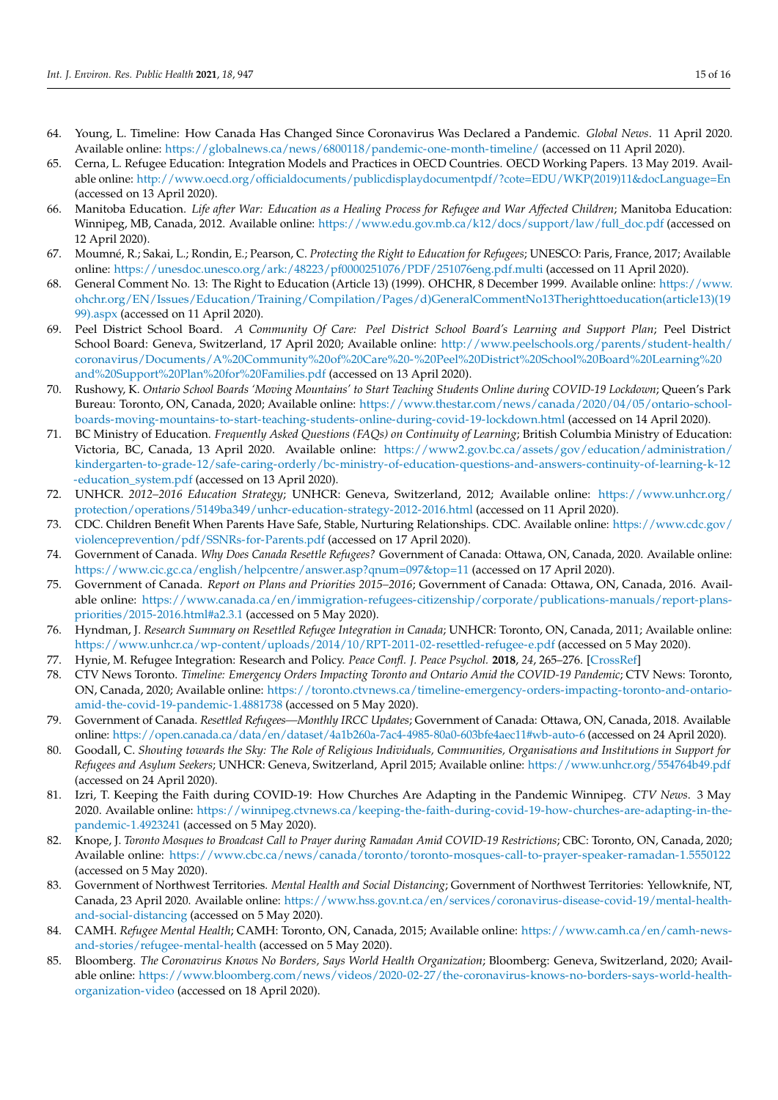- <span id="page-14-0"></span>64. Young, L. Timeline: How Canada Has Changed Since Coronavirus Was Declared a Pandemic. *Global News*. 11 April 2020. Available online: <https://globalnews.ca/news/6800118/pandemic-one-month-timeline/> (accessed on 11 April 2020).
- <span id="page-14-1"></span>65. Cerna, L. Refugee Education: Integration Models and Practices in OECD Countries. OECD Working Papers. 13 May 2019. Available online: [http://www.oecd.org/officialdocuments/publicdisplaydocumentpdf/?cote=EDU/WKP\(2019\)11&docLanguage=En](http://www.oecd.org/officialdocuments/publicdisplaydocumentpdf/?cote=EDU/WKP(2019)11&docLanguage=En) (accessed on 13 April 2020).
- <span id="page-14-2"></span>66. Manitoba Education. *Life after War: Education as a Healing Process for Refugee and War Affected Children*; Manitoba Education: Winnipeg, MB, Canada, 2012. Available online: [https://www.edu.gov.mb.ca/k12/docs/support/law/full\\_doc.pdf](https://www.edu.gov.mb.ca/k12/docs/support/law/full_doc.pdf) (accessed on 12 April 2020).
- <span id="page-14-3"></span>67. Moumné, R.; Sakai, L.; Rondin, E.; Pearson, C. *Protecting the Right to Education for Refugees*; UNESCO: Paris, France, 2017; Available online: <https://unesdoc.unesco.org/ark:/48223/pf0000251076/PDF/251076eng.pdf.multi> (accessed on 11 April 2020).
- <span id="page-14-4"></span>68. General Comment No. 13: The Right to Education (Article 13) (1999). OHCHR, 8 December 1999. Available online: [https://www.](https://www.ohchr.org/EN/Issues/Education/Training/Compilation/Pages/d)GeneralCommentNo13Therighttoeducation(article13)(1999).aspx) [ohchr.org/EN/Issues/Education/Training/Compilation/Pages/d\)GeneralCommentNo13Therighttoeducation\(article13\)\(19](https://www.ohchr.org/EN/Issues/Education/Training/Compilation/Pages/d)GeneralCommentNo13Therighttoeducation(article13)(1999).aspx) [99\).aspx](https://www.ohchr.org/EN/Issues/Education/Training/Compilation/Pages/d)GeneralCommentNo13Therighttoeducation(article13)(1999).aspx) (accessed on 11 April 2020).
- <span id="page-14-5"></span>69. Peel District School Board. *A Community Of Care: Peel District School Board's Learning and Support Plan*; Peel District School Board: Geneva, Switzerland, 17 April 2020; Available online: [http://www.peelschools.org/parents/student-health/](http://www.peelschools.org/parents/student-health/coronavirus/Documents/A%20Community%20of%20Care%20-%20Peel%20District%20School%20Board%20Learning%20and%20Support%20Plan%20for%20Families.pdf) [coronavirus/Documents/A%20Community%20of%20Care%20-%20Peel%20District%20School%20Board%20Learning%20](http://www.peelschools.org/parents/student-health/coronavirus/Documents/A%20Community%20of%20Care%20-%20Peel%20District%20School%20Board%20Learning%20and%20Support%20Plan%20for%20Families.pdf) [and%20Support%20Plan%20for%20Families.pdf](http://www.peelschools.org/parents/student-health/coronavirus/Documents/A%20Community%20of%20Care%20-%20Peel%20District%20School%20Board%20Learning%20and%20Support%20Plan%20for%20Families.pdf) (accessed on 13 April 2020).
- <span id="page-14-6"></span>70. Rushowy, K. *Ontario School Boards 'Moving Mountains' to Start Teaching Students Online during COVID-19 Lockdown*; Queen's Park Bureau: Toronto, ON, Canada, 2020; Available online: [https://www.thestar.com/news/canada/2020/04/05/ontario-school](https://www.thestar.com/news/canada/2020/04/05/ontario-school-boards-moving-mountains-to-start-teaching-students-online-during-covid-19-lockdown.html)[boards-moving-mountains-to-start-teaching-students-online-during-covid-19-lockdown.html](https://www.thestar.com/news/canada/2020/04/05/ontario-school-boards-moving-mountains-to-start-teaching-students-online-during-covid-19-lockdown.html) (accessed on 14 April 2020).
- <span id="page-14-7"></span>71. BC Ministry of Education. *Frequently Asked Questions (FAQs) on Continuity of Learning*; British Columbia Ministry of Education: Victoria, BC, Canada, 13 April 2020. Available online: [https://www2.gov.bc.ca/assets/gov/education/administration/](https://www2.gov.bc.ca/assets/gov/education/administration/kindergarten-to-grade-12/safe-caring-orderly/bc-ministry-of-education-questions-and-answers-continuity-of-learning-k-12-education_system.pdf) [kindergarten-to-grade-12/safe-caring-orderly/bc-ministry-of-education-questions-and-answers-continuity-of-learning-k-12](https://www2.gov.bc.ca/assets/gov/education/administration/kindergarten-to-grade-12/safe-caring-orderly/bc-ministry-of-education-questions-and-answers-continuity-of-learning-k-12-education_system.pdf) [-education\\_system.pdf](https://www2.gov.bc.ca/assets/gov/education/administration/kindergarten-to-grade-12/safe-caring-orderly/bc-ministry-of-education-questions-and-answers-continuity-of-learning-k-12-education_system.pdf) (accessed on 13 April 2020).
- <span id="page-14-8"></span>72. UNHCR. *2012–2016 Education Strategy*; UNHCR: Geneva, Switzerland, 2012; Available online: [https://www.unhcr.org/](https://www.unhcr.org/protection/operations/5149ba349/unhcr-education-strategy-2012-2016.html) [protection/operations/5149ba349/unhcr-education-strategy-2012-2016.html](https://www.unhcr.org/protection/operations/5149ba349/unhcr-education-strategy-2012-2016.html) (accessed on 11 April 2020).
- <span id="page-14-9"></span>73. CDC. Children Benefit When Parents Have Safe, Stable, Nurturing Relationships. CDC. Available online: [https://www.cdc.gov/](https://www.cdc.gov/violenceprevention/pdf/SSNRs-for-Parents.pdf) [violenceprevention/pdf/SSNRs-for-Parents.pdf](https://www.cdc.gov/violenceprevention/pdf/SSNRs-for-Parents.pdf) (accessed on 17 April 2020).
- <span id="page-14-10"></span>74. Government of Canada. *Why Does Canada Resettle Refugees?* Government of Canada: Ottawa, ON, Canada, 2020. Available online: <https://www.cic.gc.ca/english/helpcentre/answer.asp?qnum=097&top=11> (accessed on 17 April 2020).
- <span id="page-14-11"></span>75. Government of Canada. *Report on Plans and Priorities 2015–2016*; Government of Canada: Ottawa, ON, Canada, 2016. Available online: [https://www.canada.ca/en/immigration-refugees-citizenship/corporate/publications-manuals/report-plans](https://www.canada.ca/en/immigration-refugees-citizenship/corporate/publications-manuals/report-plans-priorities/2015-2016.html#a2.3.1)[priorities/2015-2016.html#a2.3.1](https://www.canada.ca/en/immigration-refugees-citizenship/corporate/publications-manuals/report-plans-priorities/2015-2016.html#a2.3.1) (accessed on 5 May 2020).
- <span id="page-14-12"></span>76. Hyndman, J. *Research Summary on Resettled Refugee Integration in Canada*; UNHCR: Toronto, ON, Canada, 2011; Available online: <https://www.unhcr.ca/wp-content/uploads/2014/10/RPT-2011-02-resettled-refugee-e.pdf> (accessed on 5 May 2020).
- <span id="page-14-13"></span>77. Hynie, M. Refugee Integration: Research and Policy. *Peace Confl. J. Peace Psychol.* **2018**, *24*, 265–276. [\[CrossRef\]](http://doi.org/10.1037/pac0000326)
- <span id="page-14-14"></span>78. CTV News Toronto. *Timeline: Emergency Orders Impacting Toronto and Ontario Amid the COVID-19 Pandemic*; CTV News: Toronto, ON, Canada, 2020; Available online: [https://toronto.ctvnews.ca/timeline-emergency-orders-impacting-toronto-and-ontario](https://toronto.ctvnews.ca/timeline-emergency-orders-impacting-toronto-and-ontario-amid-the-covid-19-pandemic-1.4881738)[amid-the-covid-19-pandemic-1.4881738](https://toronto.ctvnews.ca/timeline-emergency-orders-impacting-toronto-and-ontario-amid-the-covid-19-pandemic-1.4881738) (accessed on 5 May 2020).
- <span id="page-14-15"></span>79. Government of Canada. *Resettled Refugees—Monthly IRCC Updates*; Government of Canada: Ottawa, ON, Canada, 2018. Available online: <https://open.canada.ca/data/en/dataset/4a1b260a-7ac4-4985-80a0-603bfe4aec11#wb-auto-6> (accessed on 24 April 2020).
- <span id="page-14-16"></span>80. Goodall, C. *Shouting towards the Sky: The Role of Religious Individuals, Communities, Organisations and Institutions in Support for Refugees and Asylum Seekers*; UNHCR: Geneva, Switzerland, April 2015; Available online: <https://www.unhcr.org/554764b49.pdf> (accessed on 24 April 2020).
- <span id="page-14-17"></span>81. Izri, T. Keeping the Faith during COVID-19: How Churches Are Adapting in the Pandemic Winnipeg. *CTV News*. 3 May 2020. Available online: [https://winnipeg.ctvnews.ca/keeping-the-faith-during-covid-19-how-churches-are-adapting-in-the](https://winnipeg.ctvnews.ca/keeping-the-faith-during-covid-19-how-churches-are-adapting-in-the-pandemic-1.4923241)[pandemic-1.4923241](https://winnipeg.ctvnews.ca/keeping-the-faith-during-covid-19-how-churches-are-adapting-in-the-pandemic-1.4923241) (accessed on 5 May 2020).
- <span id="page-14-18"></span>82. Knope, J. *Toronto Mosques to Broadcast Call to Prayer during Ramadan Amid COVID-19 Restrictions*; CBC: Toronto, ON, Canada, 2020; Available online: <https://www.cbc.ca/news/canada/toronto/toronto-mosques-call-to-prayer-speaker-ramadan-1.5550122> (accessed on 5 May 2020).
- <span id="page-14-19"></span>83. Government of Northwest Territories. *Mental Health and Social Distancing*; Government of Northwest Territories: Yellowknife, NT, Canada, 23 April 2020. Available online: [https://www.hss.gov.nt.ca/en/services/coronavirus-disease-covid-19/mental-health](https://www.hss.gov.nt.ca/en/services/coronavirus-disease-covid-19/mental-health-and-social-distancing)[and-social-distancing](https://www.hss.gov.nt.ca/en/services/coronavirus-disease-covid-19/mental-health-and-social-distancing) (accessed on 5 May 2020).
- <span id="page-14-20"></span>84. CAMH. *Refugee Mental Health*; CAMH: Toronto, ON, Canada, 2015; Available online: [https://www.camh.ca/en/camh-news](https://www.camh.ca/en/camh-news-and-stories/refugee-mental-health)[and-stories/refugee-mental-health](https://www.camh.ca/en/camh-news-and-stories/refugee-mental-health) (accessed on 5 May 2020).
- <span id="page-14-21"></span>85. Bloomberg. *The Coronavirus Knows No Borders, Says World Health Organization*; Bloomberg: Geneva, Switzerland, 2020; Available online: [https://www.bloomberg.com/news/videos/2020-02-27/the-coronavirus-knows-no-borders-says-world-health](https://www.bloomberg.com/news/videos/2020-02-27/the-coronavirus-knows-no-borders-says-world-health-organization-video)[organization-video](https://www.bloomberg.com/news/videos/2020-02-27/the-coronavirus-knows-no-borders-says-world-health-organization-video) (accessed on 18 April 2020).